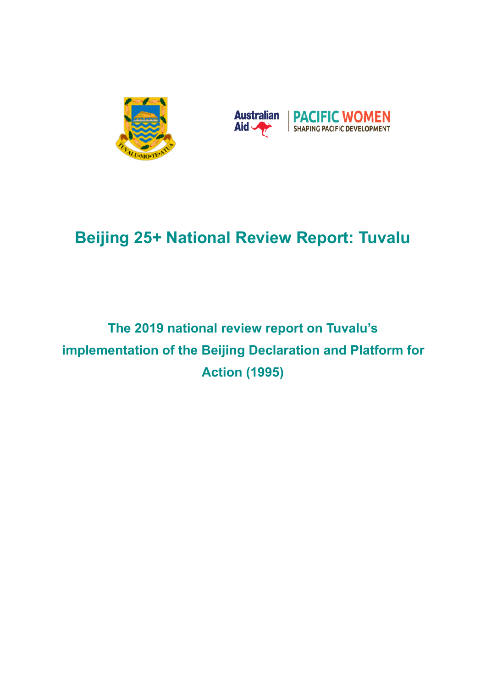



# **Beijing 25+ National Review Report: Tuvalu**

# **The 2019 national review report on Tuvalu's implementation of the Beijing Declaration and Platform for Action (1995)**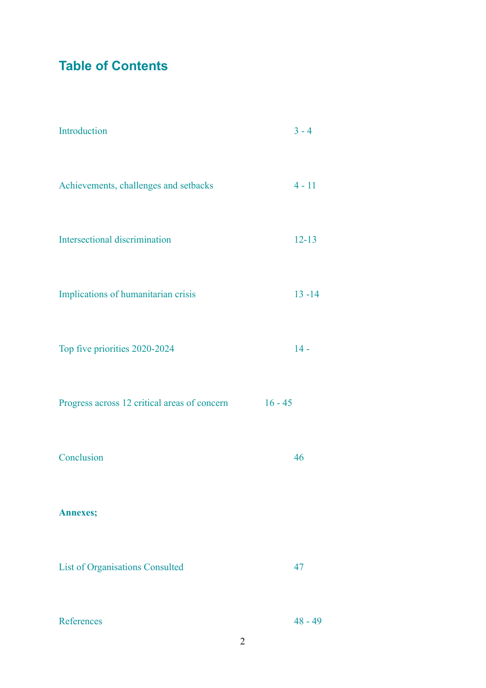**Table of Contents** 

| Introduction                                 | $3 - 4$   |
|----------------------------------------------|-----------|
| Achievements, challenges and setbacks        | $4 - 11$  |
| Intersectional discrimination                | $12 - 13$ |
| Implications of humanitarian crisis          | $13 - 14$ |
| Top five priorities 2020-2024                | $14 -$    |
| Progress across 12 critical areas of concern | $16 - 45$ |
| Conclusion                                   | 46        |
| <b>Annexes;</b>                              |           |
| <b>List of Organisations Consulted</b>       | 47        |
| References                                   | $48 - 49$ |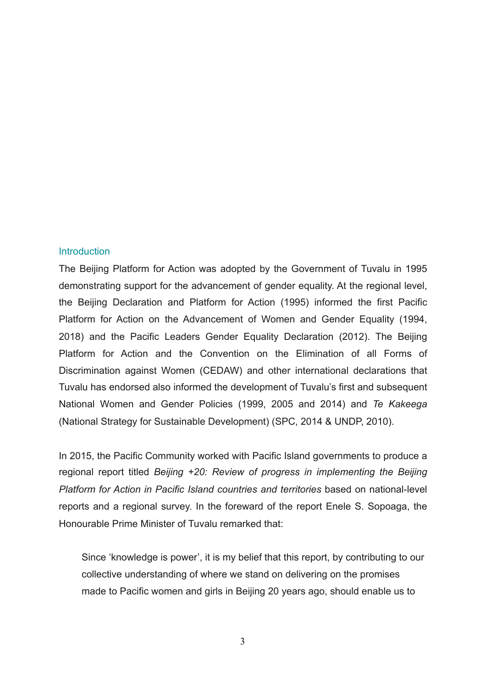#### **Introduction**

The Beijing Platform for Action was adopted by the Government of Tuvalu in 1995 demonstrating support for the advancement of gender equality. At the regional level, the Beijing Declaration and Platform for Action (1995) informed the first Pacific Platform for Action on the Advancement of Women and Gender Equality (1994, 2018) and the Pacific Leaders Gender Equality Declaration (2012). The Beijing Platform for Action and the Convention on the Elimination of all Forms of Discrimination against Women (CEDAW) and other international declarations that Tuvalu has endorsed also informed the development of Tuvalu's first and subsequent National Women and Gender Policies (1999, 2005 and 2014) and *Te Kakeega* (National Strategy for Sustainable Development) (SPC, 2014 & UNDP, 2010).

In 2015, the Pacific Community worked with Pacific Island governments to produce a regional report titled *Beijing +20: Review of progress in implementing the Beijing Platform for Action in Pacific Island countries and territories* based on national-level reports and a regional survey. In the foreward of the report Enele S. Sopoaga, the Honourable Prime Minister of Tuvalu remarked that:

Since 'knowledge is power', it is my belief that this report, by contributing to our collective understanding of where we stand on delivering on the promises made to Pacific women and girls in Beijing 20 years ago, should enable us to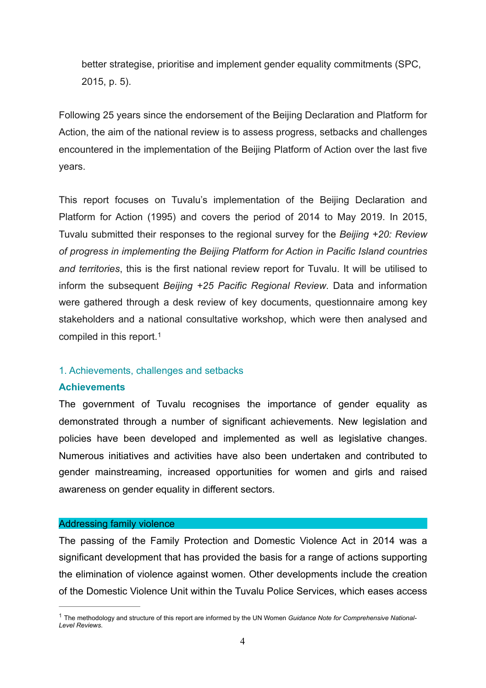better strategise, prioritise and implement gender equality commitments (SPC, 2015, p. 5).

Following 25 years since the endorsement of the Beijing Declaration and Platform for Action, the aim of the national review is to assess progress, setbacks and challenges encountered in the implementation of the Beijing Platform of Action over the last five years.

This report focuses on Tuvalu's implementation of the Beijing Declaration and Platform for Action (1995) and covers the period of 2014 to May 2019. In 2015, Tuvalu submitted their responses to the regional survey for the *Beijing +20: Review of progress in implementing the Beijing Platform for Action in Pacific Island countries and territories*, this is the first national review report for Tuvalu. It will be utilised to inform the subsequent *Beijing +25 Pacific Regional Review*. Data and information were gathered through a desk review of key documents, questionnaire among key stakeholders and a national consultative workshop, which were then analysed and compiled in this report.[1](#page-3-0)

### <span id="page-3-1"></span>1. Achievements, challenges and setbacks

#### **Achievements**

The government of Tuvalu recognises the importance of gender equality as demonstrated through a number of significant achievements. New legislation and policies have been developed and implemented as well as legislative changes. Numerous initiatives and activities have also been undertaken and contributed to gender mainstreaming, increased opportunities for women and girls and raised awareness on gender equality in different sectors.

#### Addressing family violence

The passing of the Family Protection and Domestic Violence Act in 2014 was a significant development that has provided the basis for a range of actions supporting the elimination of violence against women. Other developments include the creation of the Domestic Violence Unit within the Tuvalu Police Services, which eases access

<span id="page-3-0"></span>The methodology and structure of this report are informed by the UN Women *Guidance Note for Comprehensive National-* [1](#page-3-1) *Level Reviews*.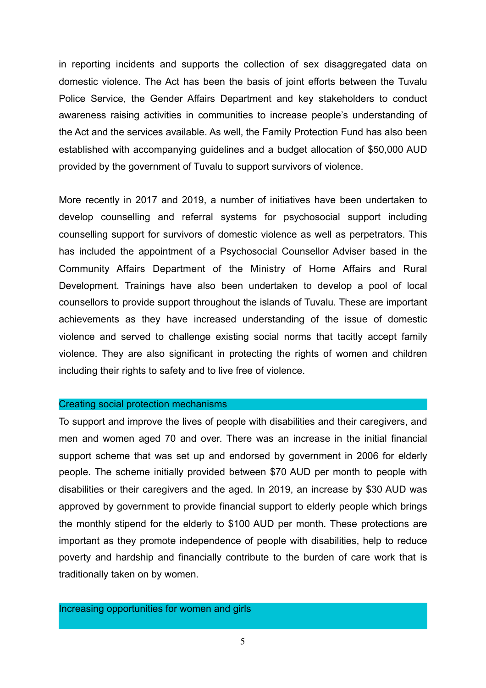in reporting incidents and supports the collection of sex disaggregated data on domestic violence. The Act has been the basis of joint efforts between the Tuvalu Police Service, the Gender Affairs Department and key stakeholders to conduct awareness raising activities in communities to increase people's understanding of the Act and the services available. As well, the Family Protection Fund has also been established with accompanying guidelines and a budget allocation of \$50,000 AUD provided by the government of Tuvalu to support survivors of violence.

More recently in 2017 and 2019, a number of initiatives have been undertaken to develop counselling and referral systems for psychosocial support including counselling support for survivors of domestic violence as well as perpetrators. This has included the appointment of a Psychosocial Counsellor Adviser based in the Community Affairs Department of the Ministry of Home Affairs and Rural Development. Trainings have also been undertaken to develop a pool of local counsellors to provide support throughout the islands of Tuvalu. These are important achievements as they have increased understanding of the issue of domestic violence and served to challenge existing social norms that tacitly accept family violence. They are also significant in protecting the rights of women and children including their rights to safety and to live free of violence.

### Creating social protection mechanisms

To support and improve the lives of people with disabilities and their caregivers, and men and women aged 70 and over. There was an increase in the initial financial support scheme that was set up and endorsed by government in 2006 for elderly people. The scheme initially provided between \$70 AUD per month to people with disabilities or their caregivers and the aged. In 2019, an increase by \$30 AUD was approved by government to provide financial support to elderly people which brings the monthly stipend for the elderly to \$100 AUD per month. These protections are important as they promote independence of people with disabilities, help to reduce poverty and hardship and financially contribute to the burden of care work that is traditionally taken on by women.

Increasing opportunities for women and girls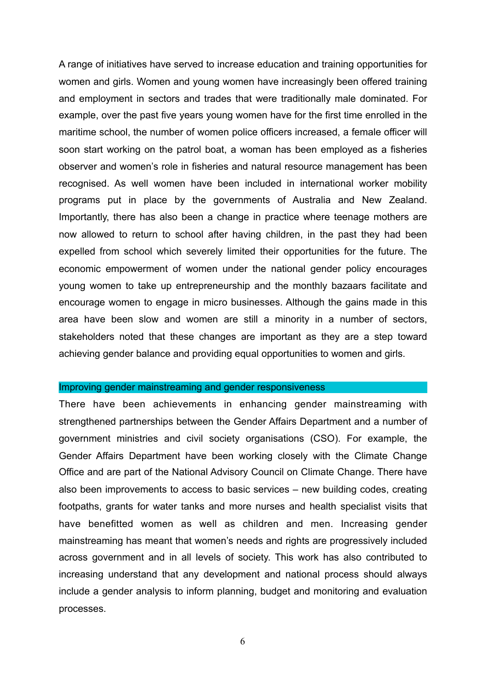A range of initiatives have served to increase education and training opportunities for women and girls. Women and young women have increasingly been offered training and employment in sectors and trades that were traditionally male dominated. For example, over the past five years young women have for the first time enrolled in the maritime school, the number of women police officers increased, a female officer will soon start working on the patrol boat, a woman has been employed as a fisheries observer and women's role in fisheries and natural resource management has been recognised. As well women have been included in international worker mobility programs put in place by the governments of Australia and New Zealand. Importantly, there has also been a change in practice where teenage mothers are now allowed to return to school after having children, in the past they had been expelled from school which severely limited their opportunities for the future. The economic empowerment of women under the national gender policy encourages young women to take up entrepreneurship and the monthly bazaars facilitate and encourage women to engage in micro businesses. Although the gains made in this area have been slow and women are still a minority in a number of sectors, stakeholders noted that these changes are important as they are a step toward achieving gender balance and providing equal opportunities to women and girls.

#### Improving gender mainstreaming and gender responsiveness

There have been achievements in enhancing gender mainstreaming with strengthened partnerships between the Gender Affairs Department and a number of government ministries and civil society organisations (CSO). For example, the Gender Affairs Department have been working closely with the Climate Change Office and are part of the National Advisory Council on Climate Change. There have also been improvements to access to basic services – new building codes, creating footpaths, grants for water tanks and more nurses and health specialist visits that have benefitted women as well as children and men. Increasing gender mainstreaming has meant that women's needs and rights are progressively included across government and in all levels of society. This work has also contributed to increasing understand that any development and national process should always include a gender analysis to inform planning, budget and monitoring and evaluation processes.

6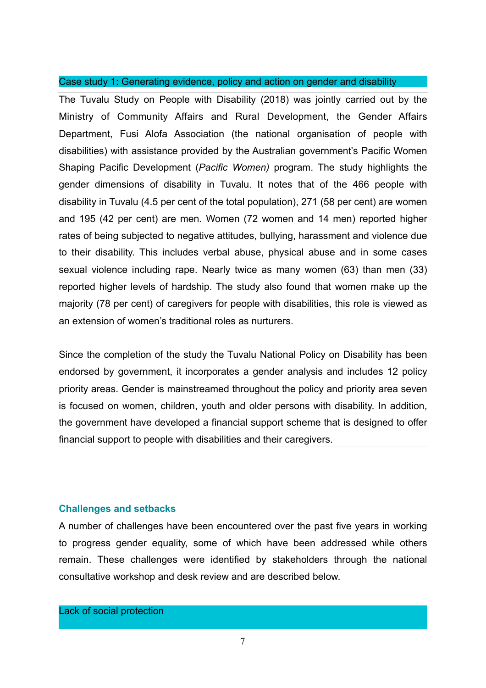### Case study 1: Generating evidence, policy and action on gender and disability

The Tuvalu Study on People with Disability (2018) was jointly carried out by the Ministry of Community Affairs and Rural Development, the Gender Affairs Department, Fusi Alofa Association (the national organisation of people with disabilities) with assistance provided by the Australian government's Pacific Women Shaping Pacific Development (*Pacific Women)* program. The study highlights the gender dimensions of disability in Tuvalu. It notes that of the 466 people with disability in Tuvalu (4.5 per cent of the total population), 271 (58 per cent) are women and 195 (42 per cent) are men. Women (72 women and 14 men) reported higher rates of being subjected to negative attitudes, bullying, harassment and violence due to their disability. This includes verbal abuse, physical abuse and in some cases sexual violence including rape. Nearly twice as many women (63) than men (33) reported higher levels of hardship. The study also found that women make up the majority (78 per cent) of caregivers for people with disabilities, this role is viewed as an extension of women's traditional roles as nurturers.

Since the completion of the study the Tuvalu National Policy on Disability has been endorsed by government, it incorporates a gender analysis and includes 12 policy priority areas. Gender is mainstreamed throughout the policy and priority area seven is focused on women, children, youth and older persons with disability. In addition, the government have developed a financial support scheme that is designed to offer financial support to people with disabilities and their caregivers.

### **Challenges and setbacks**

A number of challenges have been encountered over the past five years in working to progress gender equality, some of which have been addressed while others remain. These challenges were identified by stakeholders through the national consultative workshop and desk review and are described below.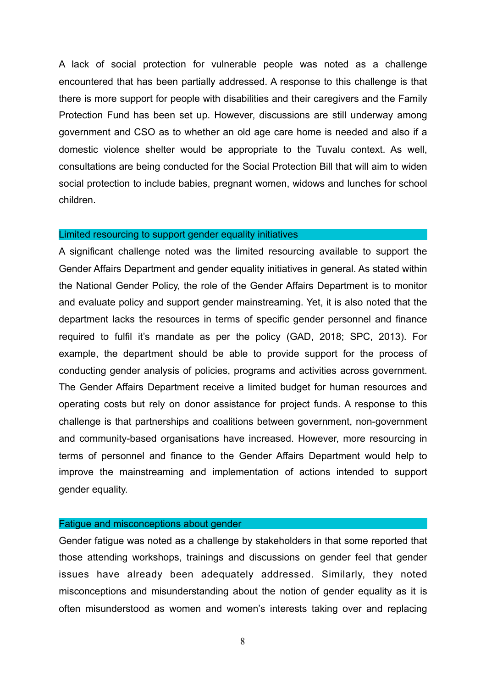A lack of social protection for vulnerable people was noted as a challenge encountered that has been partially addressed. A response to this challenge is that there is more support for people with disabilities and their caregivers and the Family Protection Fund has been set up. However, discussions are still underway among government and CSO as to whether an old age care home is needed and also if a domestic violence shelter would be appropriate to the Tuvalu context. As well, consultations are being conducted for the Social Protection Bill that will aim to widen social protection to include babies, pregnant women, widows and lunches for school children.

#### Limited resourcing to support gender equality initiatives

A significant challenge noted was the limited resourcing available to support the Gender Affairs Department and gender equality initiatives in general. As stated within the National Gender Policy, the role of the Gender Affairs Department is to monitor and evaluate policy and support gender mainstreaming. Yet, it is also noted that the department lacks the resources in terms of specific gender personnel and finance required to fulfil it's mandate as per the policy (GAD, 2018; SPC, 2013). For example, the department should be able to provide support for the process of conducting gender analysis of policies, programs and activities across government. The Gender Affairs Department receive a limited budget for human resources and operating costs but rely on donor assistance for project funds. A response to this challenge is that partnerships and coalitions between government, non-government and community-based organisations have increased. However, more resourcing in terms of personnel and finance to the Gender Affairs Department would help to improve the mainstreaming and implementation of actions intended to support gender equality.

### Fatigue and misconceptions about gender

Gender fatigue was noted as a challenge by stakeholders in that some reported that those attending workshops, trainings and discussions on gender feel that gender issues have already been adequately addressed. Similarly, they noted misconceptions and misunderstanding about the notion of gender equality as it is often misunderstood as women and women's interests taking over and replacing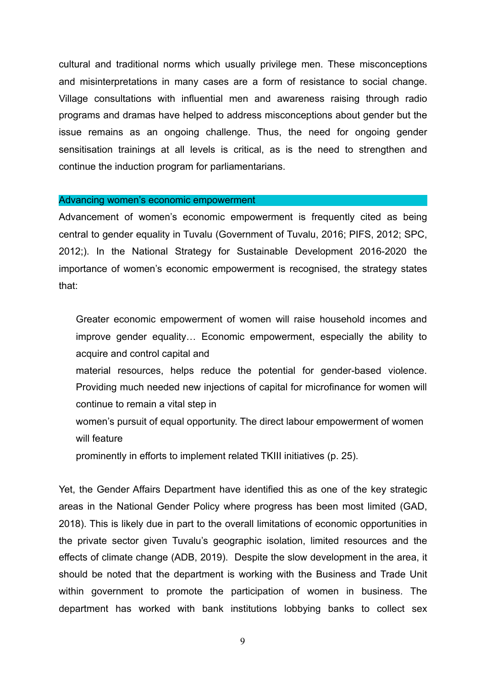cultural and traditional norms which usually privilege men. These misconceptions and misinterpretations in many cases are a form of resistance to social change. Village consultations with influential men and awareness raising through radio programs and dramas have helped to address misconceptions about gender but the issue remains as an ongoing challenge. Thus, the need for ongoing gender sensitisation trainings at all levels is critical, as is the need to strengthen and continue the induction program for parliamentarians.

#### Advancing women's economic empowerment

Advancement of women's economic empowerment is frequently cited as being central to gender equality in Tuvalu (Government of Tuvalu, 2016; PIFS, 2012; SPC, 2012;). In the National Strategy for Sustainable Development 2016-2020 the importance of women's economic empowerment is recognised, the strategy states that:

Greater economic empowerment of women will raise household incomes and improve gender equality… Economic empowerment, especially the ability to acquire and control capital and

material resources, helps reduce the potential for gender-based violence. Providing much needed new injections of capital for microfinance for women will continue to remain a vital step in

women's pursuit of equal opportunity. The direct labour empowerment of women will feature

prominently in efforts to implement related TKIII initiatives (p. 25).

Yet, the Gender Affairs Department have identified this as one of the key strategic areas in the National Gender Policy where progress has been most limited (GAD, 2018). This is likely due in part to the overall limitations of economic opportunities in the private sector given Tuvalu's geographic isolation, limited resources and the effects of climate change (ADB, 2019). Despite the slow development in the area, it should be noted that the department is working with the Business and Trade Unit within government to promote the participation of women in business. The department has worked with bank institutions lobbying banks to collect sex

9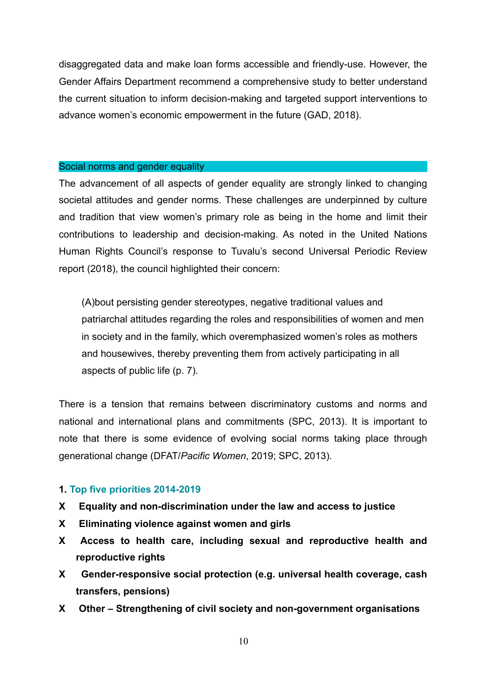disaggregated data and make loan forms accessible and friendly-use. However, the Gender Affairs Department recommend a comprehensive study to better understand the current situation to inform decision-making and targeted support interventions to advance women's economic empowerment in the future (GAD, 2018).

### Social norms and gender equality

The advancement of all aspects of gender equality are strongly linked to changing societal attitudes and gender norms. These challenges are underpinned by culture and tradition that view women's primary role as being in the home and limit their contributions to leadership and decision-making. As noted in the United Nations Human Rights Council's response to Tuvalu's second Universal Periodic Review report (2018), the council highlighted their concern:

(A)bout persisting gender stereotypes, negative traditional values and patriarchal attitudes regarding the roles and responsibilities of women and men in society and in the family, which overemphasized women's roles as mothers and housewives, thereby preventing them from actively participating in all aspects of public life (p. 7).

There is a tension that remains between discriminatory customs and norms and national and international plans and commitments (SPC, 2013). It is important to note that there is some evidence of evolving social norms taking place through generational change (DFAT/*Pacific Women*, 2019; SPC, 2013).

### **1. Top five priorities 2014-2019**

- **X Equality and non-discrimination under the law and access to justice**
- **X Eliminating violence against women and girls**
- **X Access to health care, including sexual and reproductive health and reproductive rights**
- **X Gender-responsive social protection (e.g. universal health coverage, cash transfers, pensions)**
- **X Other Strengthening of civil society and non-government organisations**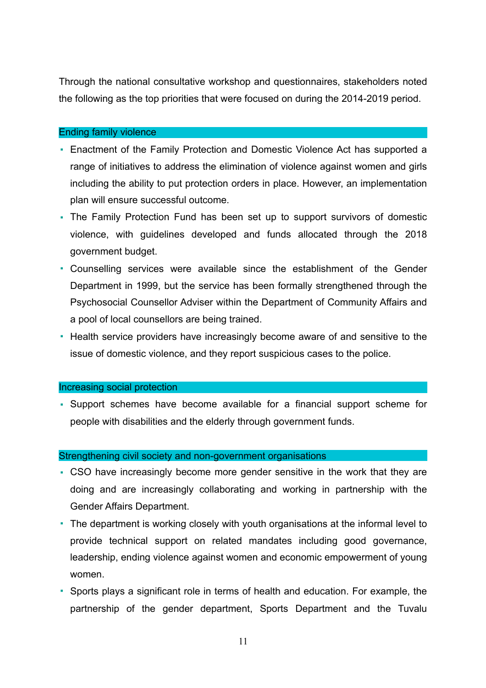Through the national consultative workshop and questionnaires, stakeholders noted the following as the top priorities that were focused on during the 2014-2019 period.

### Ending family violence

- Enactment of the Family Protection and Domestic Violence Act has supported a range of initiatives to address the elimination of violence against women and girls including the ability to put protection orders in place. However, an implementation plan will ensure successful outcome.
- The Family Protection Fund has been set up to support survivors of domestic violence, with guidelines developed and funds allocated through the 2018 government budget.
- Counselling services were available since the establishment of the Gender Department in 1999, but the service has been formally strengthened through the Psychosocial Counsellor Adviser within the Department of Community Affairs and a pool of local counsellors are being trained.
- Health service providers have increasingly become aware of and sensitive to the issue of domestic violence, and they report suspicious cases to the police.

### Increasing social protection

▪ Support schemes have become available for a financial support scheme for people with disabilities and the elderly through government funds.

### Strengthening civil society and non-government organisations

- CSO have increasingly become more gender sensitive in the work that they are doing and are increasingly collaborating and working in partnership with the Gender Affairs Department.
- The department is working closely with youth organisations at the informal level to provide technical support on related mandates including good governance, leadership, ending violence against women and economic empowerment of young women.
- Sports plays a significant role in terms of health and education. For example, the partnership of the gender department, Sports Department and the Tuvalu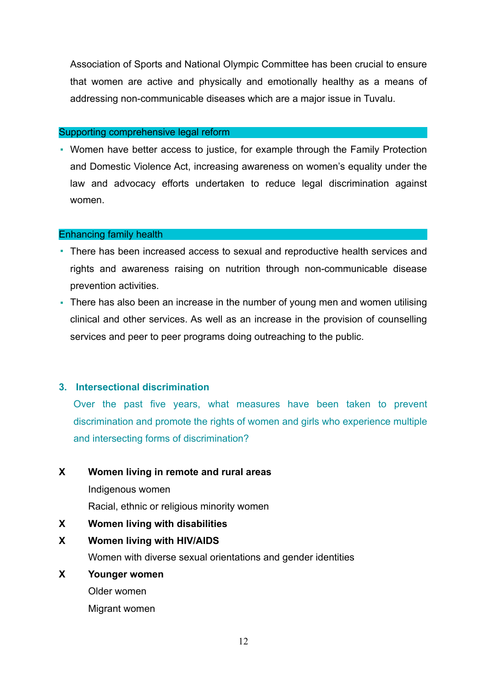Association of Sports and National Olympic Committee has been crucial to ensure that women are active and physically and emotionally healthy as a means of addressing non-communicable diseases which are a major issue in Tuvalu.

### Supporting comprehensive legal reform

▪ Women have better access to justice, for example through the Family Protection and Domestic Violence Act, increasing awareness on women's equality under the law and advocacy efforts undertaken to reduce legal discrimination against women.

### Enhancing family health

- There has been increased access to sexual and reproductive health services and rights and awareness raising on nutrition through non-communicable disease prevention activities.
- There has also been an increase in the number of young men and women utilising clinical and other services. As well as an increase in the provision of counselling services and peer to peer programs doing outreaching to the public.

### **3. Intersectional discrimination**

Over the past five years, what measures have been taken to prevent discrimination and promote the rights of women and girls who experience multiple and intersecting forms of discrimination?

### **X Women living in remote and rural areas**

Indigenous women

Racial, ethnic or religious minority women

### **X Women living with disabilities**

### **X Women living with HIV/AIDS**

Women with diverse sexual orientations and gender identities

### **X Younger women**

Older women

Migrant women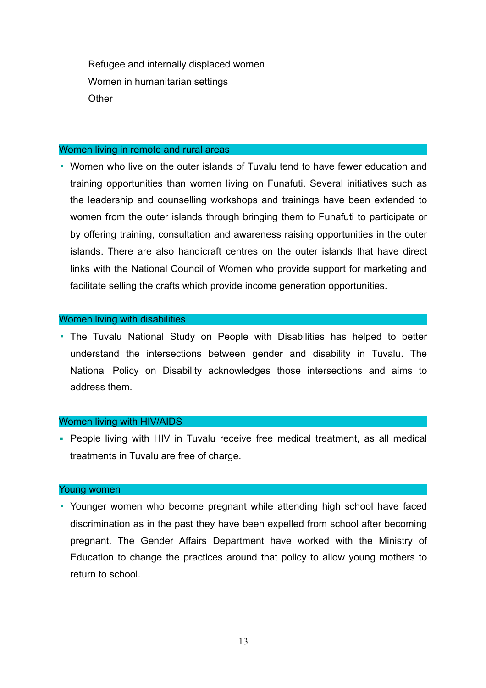Refugee and internally displaced women Women in humanitarian settings **Other** 

#### Women living in remote and rural areas

▪ Women who live on the outer islands of Tuvalu tend to have fewer education and training opportunities than women living on Funafuti. Several initiatives such as the leadership and counselling workshops and trainings have been extended to women from the outer islands through bringing them to Funafuti to participate or by offering training, consultation and awareness raising opportunities in the outer islands. There are also handicraft centres on the outer islands that have direct links with the National Council of Women who provide support for marketing and facilitate selling the crafts which provide income generation opportunities.

### Women living with disabilities

▪ The Tuvalu National Study on People with Disabilities has helped to better understand the intersections between gender and disability in Tuvalu. The National Policy on Disability acknowledges those intersections and aims to address them.

### Women living with HIV/AIDS

■ People living with HIV in Tuvalu receive free medical treatment, as all medical treatments in Tuvalu are free of charge.

### Young women

▪ Younger women who become pregnant while attending high school have faced discrimination as in the past they have been expelled from school after becoming pregnant. The Gender Affairs Department have worked with the Ministry of Education to change the practices around that policy to allow young mothers to return to school.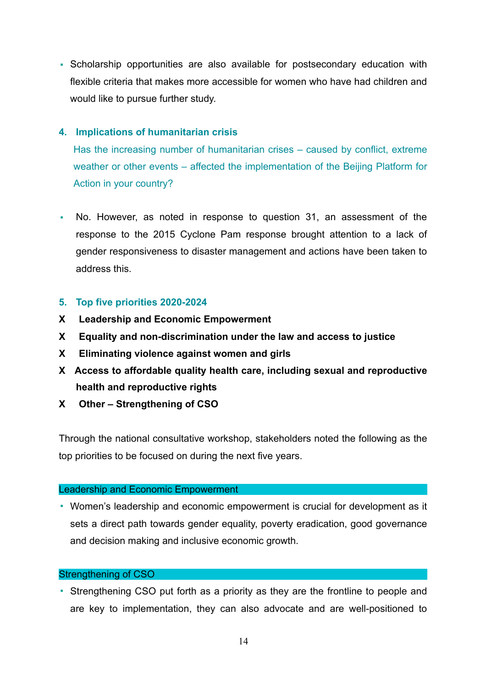▪ Scholarship opportunities are also available for postsecondary education with flexible criteria that makes more accessible for women who have had children and would like to pursue further study.

### **4. Implications of humanitarian crisis**

Has the increasing number of humanitarian crises – caused by conflict, extreme weather or other events – affected the implementation of the Beijing Platform for Action in your country?

▪ No. However, as noted in response to question 31, an assessment of the response to the 2015 Cyclone Pam response brought attention to a lack of gender responsiveness to disaster management and actions have been taken to address this.

### **5. Top five priorities 2020-2024**

- **X Leadership and Economic Empowerment**
- **X Equality and non-discrimination under the law and access to justice**
- **X Eliminating violence against women and girls**
- **X Access to affordable quality health care, including sexual and reproductive health and reproductive rights**
- **X Other Strengthening of CSO**

Through the national consultative workshop, stakeholders noted the following as the top priorities to be focused on during the next five years.

### Leadership and Economic Empowerment

▪ Women's leadership and economic empowerment is crucial for development as it sets a direct path towards gender equality, poverty eradication, good governance and decision making and inclusive economic growth.

### Strengthening of CSO

▪ Strengthening CSO put forth as a priority as they are the frontline to people and are key to implementation, they can also advocate and are well-positioned to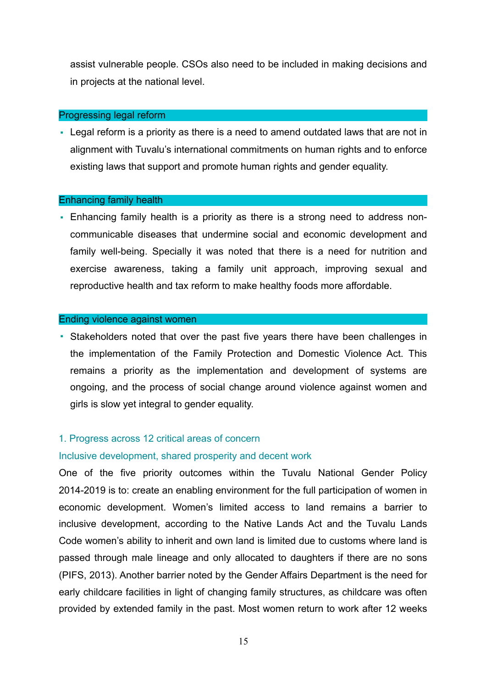assist vulnerable people. CSOs also need to be included in making decisions and in projects at the national level.

#### Progressing legal reform

• Legal reform is a priority as there is a need to amend outdated laws that are not in alignment with Tuvalu's international commitments on human rights and to enforce existing laws that support and promote human rights and gender equality.

#### Enhancing family health

• Enhancing family health is a priority as there is a strong need to address noncommunicable diseases that undermine social and economic development and family well-being. Specially it was noted that there is a need for nutrition and exercise awareness, taking a family unit approach, improving sexual and reproductive health and tax reform to make healthy foods more affordable.

### Ending violence against women

▪ Stakeholders noted that over the past five years there have been challenges in the implementation of the Family Protection and Domestic Violence Act. This remains a priority as the implementation and development of systems are ongoing, and the process of social change around violence against women and girls is slow yet integral to gender equality.

### 1. Progress across 12 critical areas of concern

### Inclusive development, shared prosperity and decent work

One of the five priority outcomes within the Tuvalu National Gender Policy 2014-2019 is to: create an enabling environment for the full participation of women in economic development. Women's limited access to land remains a barrier to inclusive development, according to the Native Lands Act and the Tuvalu Lands Code women's ability to inherit and own land is limited due to customs where land is passed through male lineage and only allocated to daughters if there are no sons (PIFS, 2013). Another barrier noted by the Gender Affairs Department is the need for early childcare facilities in light of changing family structures, as childcare was often provided by extended family in the past. Most women return to work after 12 weeks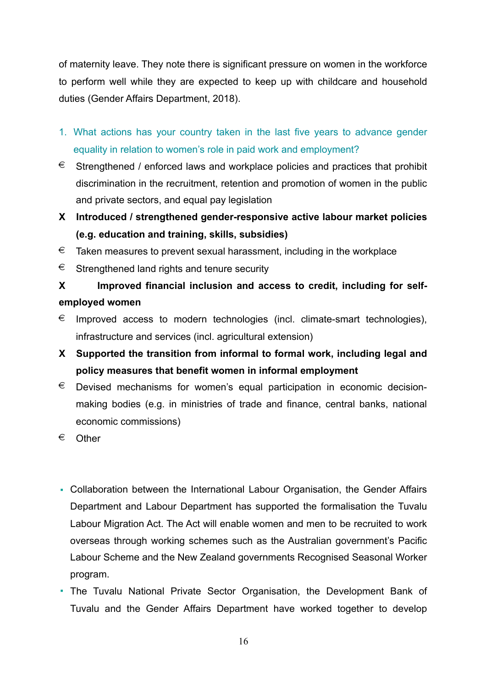of maternity leave. They note there is significant pressure on women in the workforce to perform well while they are expected to keep up with childcare and household duties (Gender Affairs Department, 2018).

- 1. What actions has your country taken in the last five years to advance gender equality in relation to women's role in paid work and employment?
- $\epsilon$  Strengthened / enforced laws and workplace policies and practices that prohibit discrimination in the recruitment, retention and promotion of women in the public and private sectors, and equal pay legislation
- **X Introduced / strengthened gender-responsive active labour market policies (e.g. education and training, skills, subsidies)**
- $\epsilon$  Taken measures to prevent sexual harassment, including in the workplace
- $\epsilon$  Strengthened land rights and tenure security

# **X Improved financial inclusion and access to credit, including for selfemployed women**

- $\epsilon$  Improved access to modern technologies (incl. climate-smart technologies), infrastructure and services (incl. agricultural extension)
- **X Supported the transition from informal to formal work, including legal and policy measures that benefit women in informal employment**
- $\epsilon$  Devised mechanisms for women's equal participation in economic decisionmaking bodies (e.g. in ministries of trade and finance, central banks, national economic commissions)
- € Other
- Collaboration between the International Labour Organisation, the Gender Affairs Department and Labour Department has supported the formalisation the Tuvalu Labour Migration Act. The Act will enable women and men to be recruited to work overseas through working schemes such as the Australian government's Pacific Labour Scheme and the New Zealand governments Recognised Seasonal Worker program.
- The Tuvalu National Private Sector Organisation, the Development Bank of Tuvalu and the Gender Affairs Department have worked together to develop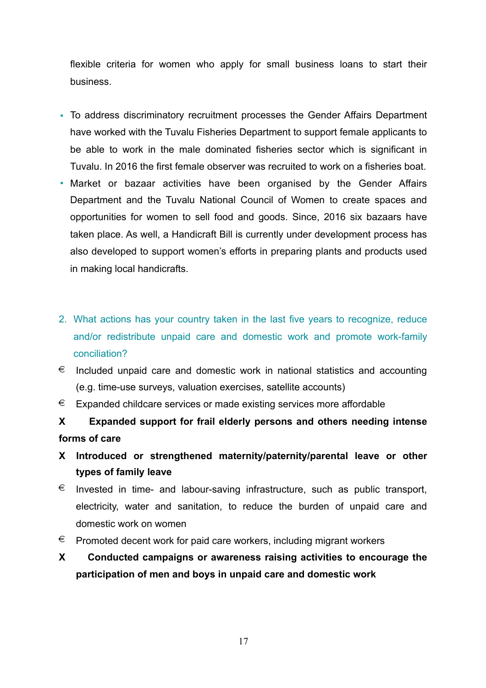flexible criteria for women who apply for small business loans to start their business.

- To address discriminatory recruitment processes the Gender Affairs Department have worked with the Tuvalu Fisheries Department to support female applicants to be able to work in the male dominated fisheries sector which is significant in Tuvalu. In 2016 the first female observer was recruited to work on a fisheries boat.
- Market or bazaar activities have been organised by the Gender Affairs Department and the Tuvalu National Council of Women to create spaces and opportunities for women to sell food and goods. Since, 2016 six bazaars have taken place. As well, a Handicraft Bill is currently under development process has also developed to support women's efforts in preparing plants and products used in making local handicrafts.
- 2. What actions has your country taken in the last five years to recognize, reduce and/or redistribute unpaid care and domestic work and promote work-family conciliation?
- $\epsilon$  Included unpaid care and domestic work in national statistics and accounting (e.g. time-use surveys, valuation exercises, satellite accounts)
- $\epsilon$  Expanded childcare services or made existing services more affordable

**X Expanded support for frail elderly persons and others needing intense forms of care** 

- **X Introduced or strengthened maternity/paternity/parental leave or other types of family leave**
- $\epsilon$  Invested in time- and labour-saving infrastructure, such as public transport, electricity, water and sanitation, to reduce the burden of unpaid care and domestic work on women
- $\epsilon$  Promoted decent work for paid care workers, including migrant workers
- **X Conducted campaigns or awareness raising activities to encourage the participation of men and boys in unpaid care and domestic work**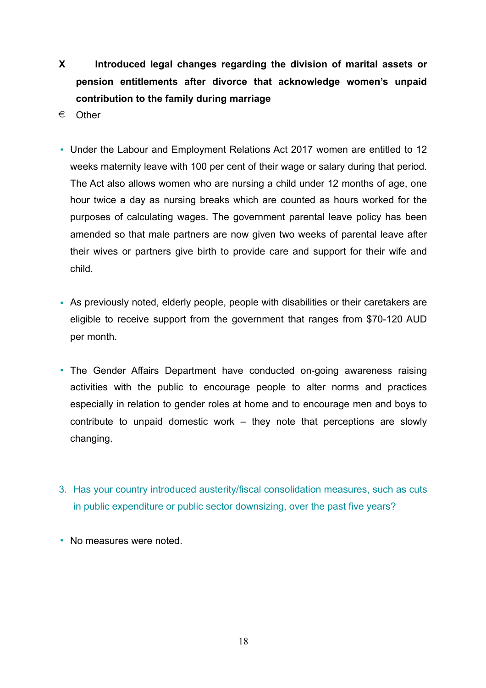- **X Introduced legal changes regarding the division of marital assets or pension entitlements after divorce that acknowledge women's unpaid contribution to the family during marriage**
- € Other
- Under the Labour and Employment Relations Act 2017 women are entitled to 12 weeks maternity leave with 100 per cent of their wage or salary during that period. The Act also allows women who are nursing a child under 12 months of age, one hour twice a day as nursing breaks which are counted as hours worked for the purposes of calculating wages. The government parental leave policy has been amended so that male partners are now given two weeks of parental leave after their wives or partners give birth to provide care and support for their wife and child.
- As previously noted, elderly people, people with disabilities or their caretakers are eligible to receive support from the government that ranges from \$70-120 AUD per month.
- The Gender Affairs Department have conducted on-going awareness raising activities with the public to encourage people to alter norms and practices especially in relation to gender roles at home and to encourage men and boys to contribute to unpaid domestic work – they note that perceptions are slowly changing.
- 3. Has your country introduced austerity/fiscal consolidation measures, such as cuts in public expenditure or public sector downsizing, over the past five years?
- No measures were noted.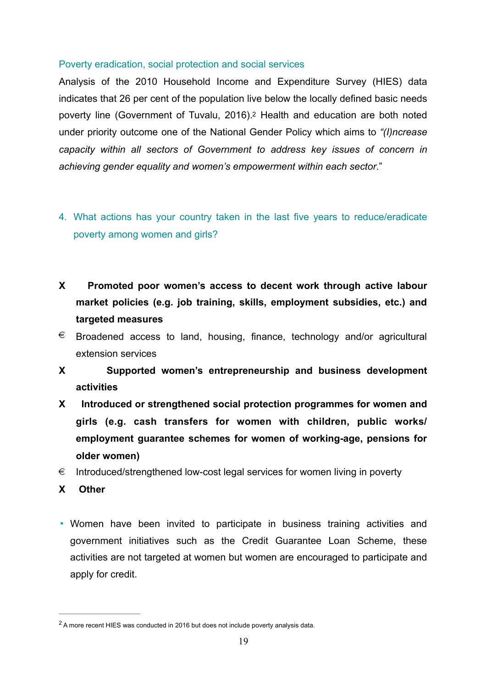### Poverty eradication, social protection and social services

<span id="page-18-1"></span>Analysis of the 2010 Household Income and Expenditure Survey (HIES) data indicates that 26 per cent of the population live below the locally defined basic needs poverty line (Government of Tuvalu, 2016)[.2](#page-18-0) Health and education are both noted under priority outcome one of the National Gender Policy which aims to *"(I)ncrease capacity within all sectors of Government to address key issues of concern in achieving gender equality and women's empowerment within each sector*."

- 4. What actions has your country taken in the last five years to reduce/eradicate poverty among women and girls?
- **X Promoted poor women's access to decent work through active labour market policies (e.g. job training, skills, employment subsidies, etc.) and targeted measures**
- $\epsilon$  Broadened access to land, housing, finance, technology and/or agricultural extension services
- **X Supported women's entrepreneurship and business development activities**
- **X Introduced or strengthened social protection programmes for women and girls (e.g. cash transfers for women with children, public works/ employment guarantee schemes for women of working-age, pensions for older women)**
- $\epsilon$  Introduced/strengthened low-cost legal services for women living in poverty
- **X Other**
- Women have been invited to participate in business training activities and government initiatives such as the Credit Guarantee Loan Scheme, these activities are not targeted at women but women are encouraged to participate and apply for credit.

<span id="page-18-0"></span><sup>&</sup>lt;sup>2</sup>A more recent HIES was conducted in [2](#page-18-1)016 but does not include poverty analysis data.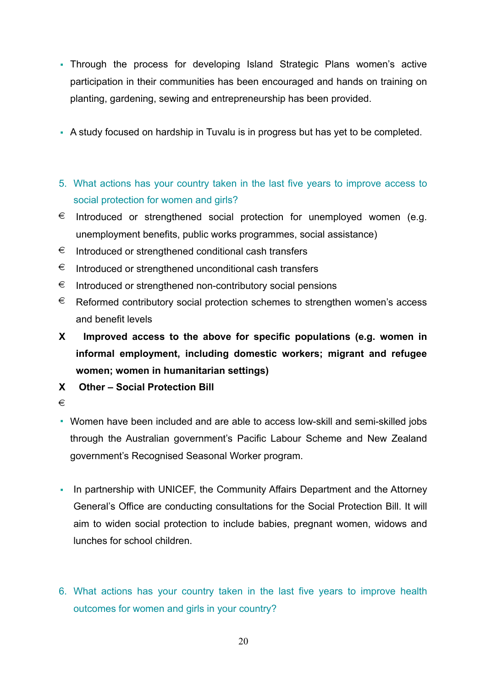- Through the process for developing Island Strategic Plans women's active participation in their communities has been encouraged and hands on training on planting, gardening, sewing and entrepreneurship has been provided.
- A study focused on hardship in Tuvalu is in progress but has yet to be completed.
- 5. What actions has your country taken in the last five years to improve access to social protection for women and girls?
- $\epsilon$  Introduced or strengthened social protection for unemployed women (e.g. unemployment benefits, public works programmes, social assistance)
- $\epsilon$  Introduced or strengthened conditional cash transfers
- $\epsilon$  Introduced or strengthened unconditional cash transfers
- $\epsilon$  Introduced or strengthened non-contributory social pensions
- $\epsilon$  Reformed contributory social protection schemes to strengthen women's access and benefit levels
- **X Improved access to the above for specific populations (e.g. women in informal employment, including domestic workers; migrant and refugee women; women in humanitarian settings)**
- **X Other Social Protection Bill**
- €
- Women have been included and are able to access low-skill and semi-skilled jobs through the Australian government's Pacific Labour Scheme and New Zealand government's Recognised Seasonal Worker program.
- In partnership with UNICEF, the Community Affairs Department and the Attorney General's Office are conducting consultations for the Social Protection Bill. It will aim to widen social protection to include babies, pregnant women, widows and lunches for school children.
- 6. What actions has your country taken in the last five years to improve health outcomes for women and girls in your country?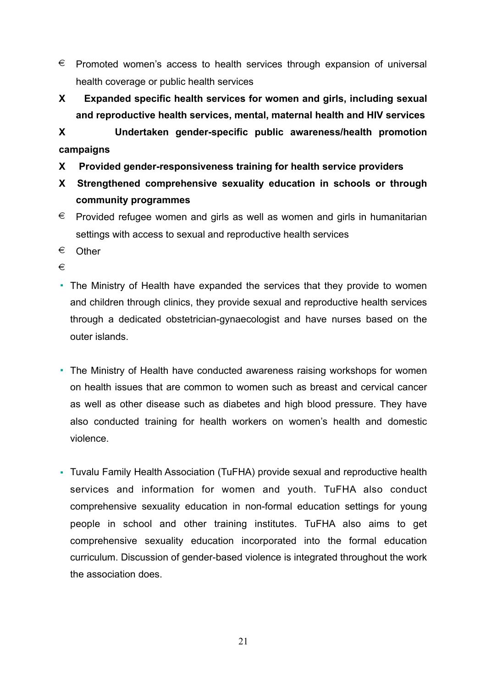- $\epsilon$  Promoted women's access to health services through expansion of universal health coverage or public health services
- **X Expanded specific health services for women and girls, including sexual and reproductive health services, mental, maternal health and HIV services**

**X Undertaken gender-specific public awareness/health promotion campaigns** 

- **X Provided gender-responsiveness training for health service providers**
- **X Strengthened comprehensive sexuality education in schools or through community programmes**
- $\epsilon$  Provided refugee women and girls as well as women and girls in humanitarian settings with access to sexual and reproductive health services
- € Other

€

- The Ministry of Health have expanded the services that they provide to women and children through clinics, they provide sexual and reproductive health services through a dedicated obstetrician-gynaecologist and have nurses based on the outer islands.
- The Ministry of Health have conducted awareness raising workshops for women on health issues that are common to women such as breast and cervical cancer as well as other disease such as diabetes and high blood pressure. They have also conducted training for health workers on women's health and domestic violence.
- Tuvalu Family Health Association (TuFHA) provide sexual and reproductive health services and information for women and youth. TuFHA also conduct comprehensive sexuality education in non-formal education settings for young people in school and other training institutes. TuFHA also aims to get comprehensive sexuality education incorporated into the formal education curriculum. Discussion of gender-based violence is integrated throughout the work the association does.

21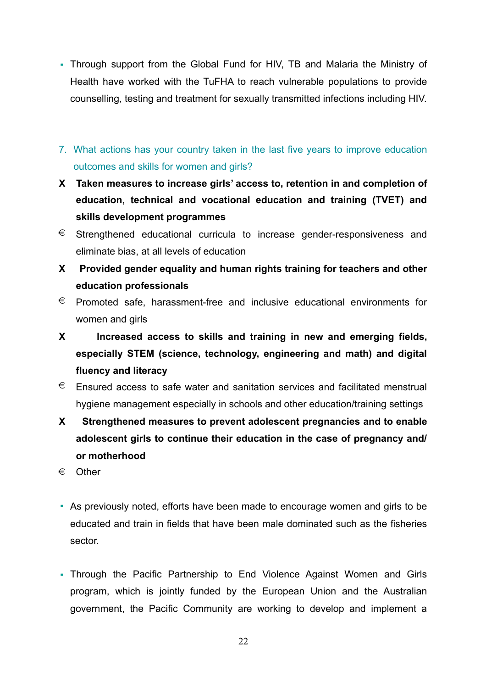- Through support from the Global Fund for HIV, TB and Malaria the Ministry of Health have worked with the TuFHA to reach vulnerable populations to provide counselling, testing and treatment for sexually transmitted infections including HIV.
- 7. What actions has your country taken in the last five years to improve education outcomes and skills for women and girls?
- **X Taken measures to increase girls' access to, retention in and completion of education, technical and vocational education and training (TVET) and skills development programmes**
- € Strengthened educational curricula to increase gender-responsiveness and eliminate bias, at all levels of education
- **X Provided gender equality and human rights training for teachers and other education professionals**
- $\epsilon$  Promoted safe, harassment-free and inclusive educational environments for women and girls
- **X Increased access to skills and training in new and emerging fields, especially STEM (science, technology, engineering and math) and digital fluency and literacy**
- $\epsilon$  Ensured access to safe water and sanitation services and facilitated menstrual hygiene management especially in schools and other education/training settings
- **X Strengthened measures to prevent adolescent pregnancies and to enable adolescent girls to continue their education in the case of pregnancy and/ or motherhood**
- € Other
- As previously noted, efforts have been made to encourage women and girls to be educated and train in fields that have been male dominated such as the fisheries sector.
- Through the Pacific Partnership to End Violence Against Women and Girls program, which is jointly funded by the European Union and the Australian government, the Pacific Community are working to develop and implement a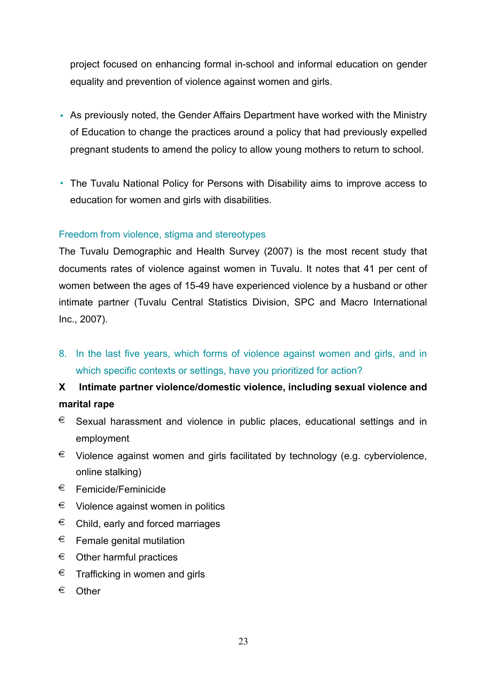project focused on enhancing formal in-school and informal education on gender equality and prevention of violence against women and girls.

- As previously noted, the Gender Affairs Department have worked with the Ministry of Education to change the practices around a policy that had previously expelled pregnant students to amend the policy to allow young mothers to return to school.
- The Tuvalu National Policy for Persons with Disability aims to improve access to education for women and girls with disabilities.

### Freedom from violence, stigma and stereotypes

The Tuvalu Demographic and Health Survey (2007) is the most recent study that documents rates of violence against women in Tuvalu. It notes that 41 per cent of women between the ages of 15-49 have experienced violence by a husband or other intimate partner (Tuvalu Central Statistics Division, SPC and Macro International Inc., 2007).

8. In the last five years, which forms of violence against women and girls, and in which specific contexts or settings, have you prioritized for action?

# **X Intimate partner violence/domestic violence, including sexual violence and marital rape**

- $\epsilon$  Sexual harassment and violence in public places, educational settings and in employment
- € Violence against women and girls facilitated by technology (e.g. cyberviolence, online stalking)
- $\epsilon$  Femicide/Feminicide
- $\epsilon$  Violence against women in politics
- $\epsilon$  Child, early and forced marriages
- $\epsilon$  Female genital mutilation
- $\epsilon$  Other harmful practices
- $\epsilon$  Trafficking in women and girls
- € Other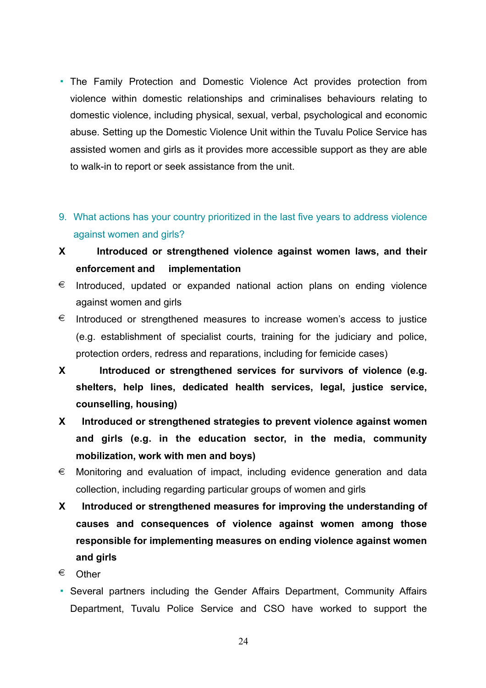- The Family Protection and Domestic Violence Act provides protection from violence within domestic relationships and criminalises behaviours relating to domestic violence, including physical, sexual, verbal, psychological and economic abuse. Setting up the Domestic Violence Unit within the Tuvalu Police Service has assisted women and girls as it provides more accessible support as they are able to walk-in to report or seek assistance from the unit.
- 9. What actions has your country prioritized in the last five years to address violence against women and girls?
- **X Introduced or strengthened violence against women laws, and their enforcement and implementation**
- $\epsilon$  Introduced, updated or expanded national action plans on ending violence against women and girls
- $\epsilon$  Introduced or strengthened measures to increase women's access to justice (e.g. establishment of specialist courts, training for the judiciary and police, protection orders, redress and reparations, including for femicide cases)
- **X Introduced or strengthened services for survivors of violence (e.g. shelters, help lines, dedicated health services, legal, justice service, counselling, housing)**
- **X Introduced or strengthened strategies to prevent violence against women and girls (e.g. in the education sector, in the media, community mobilization, work with men and boys)**
- $\epsilon$  Monitoring and evaluation of impact, including evidence generation and data collection, including regarding particular groups of women and girls
- **X Introduced or strengthened measures for improving the understanding of causes and consequences of violence against women among those responsible for implementing measures on ending violence against women and girls**
- € Other
- Several partners including the Gender Affairs Department, Community Affairs Department, Tuvalu Police Service and CSO have worked to support the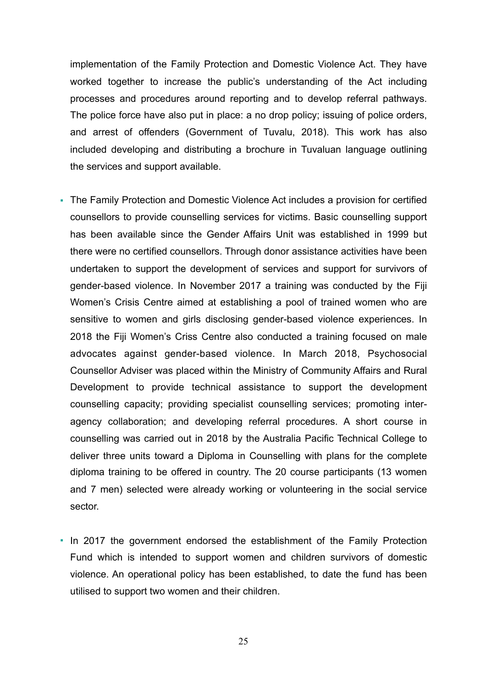implementation of the Family Protection and Domestic Violence Act. They have worked together to increase the public's understanding of the Act including processes and procedures around reporting and to develop referral pathways. The police force have also put in place: a no drop policy; issuing of police orders, and arrest of offenders (Government of Tuvalu, 2018). This work has also included developing and distributing a brochure in Tuvaluan language outlining the services and support available.

- The Family Protection and Domestic Violence Act includes a provision for certified counsellors to provide counselling services for victims. Basic counselling support has been available since the Gender Affairs Unit was established in 1999 but there were no certified counsellors. Through donor assistance activities have been undertaken to support the development of services and support for survivors of gender-based violence. In November 2017 a training was conducted by the Fiji Women's Crisis Centre aimed at establishing a pool of trained women who are sensitive to women and girls disclosing gender-based violence experiences. In 2018 the Fiji Women's Criss Centre also conducted a training focused on male advocates against gender-based violence. In March 2018, Psychosocial Counsellor Adviser was placed within the Ministry of Community Affairs and Rural Development to provide technical assistance to support the development counselling capacity; providing specialist counselling services; promoting interagency collaboration; and developing referral procedures. A short course in counselling was carried out in 2018 by the Australia Pacific Technical College to deliver three units toward a Diploma in Counselling with plans for the complete diploma training to be offered in country. The 20 course participants (13 women and 7 men) selected were already working or volunteering in the social service sector.
- In 2017 the government endorsed the establishment of the Family Protection Fund which is intended to support women and children survivors of domestic violence. An operational policy has been established, to date the fund has been utilised to support two women and their children.

25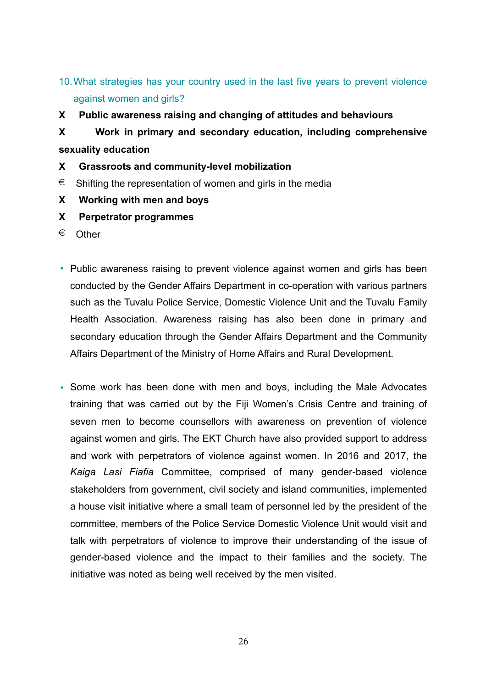# 10.What strategies has your country used in the last five years to prevent violence against women and girls?

- **X Public awareness raising and changing of attitudes and behaviours**
- **X Work in primary and secondary education, including comprehensive sexuality education**
- **X Grassroots and community-level mobilization**
- $\epsilon$  Shifting the representation of women and girls in the media
- **X Working with men and boys**
- **X Perpetrator programmes**
- € Other
- Public awareness raising to prevent violence against women and girls has been conducted by the Gender Affairs Department in co-operation with various partners such as the Tuvalu Police Service, Domestic Violence Unit and the Tuvalu Family Health Association. Awareness raising has also been done in primary and secondary education through the Gender Affairs Department and the Community Affairs Department of the Ministry of Home Affairs and Rural Development.
- Some work has been done with men and boys, including the Male Advocates training that was carried out by the Fiji Women's Crisis Centre and training of seven men to become counsellors with awareness on prevention of violence against women and girls. The EKT Church have also provided support to address and work with perpetrators of violence against women. In 2016 and 2017, the *Kaiga Lasi Fiafia* Committee, comprised of many gender-based violence stakeholders from government, civil society and island communities, implemented a house visit initiative where a small team of personnel led by the president of the committee, members of the Police Service Domestic Violence Unit would visit and talk with perpetrators of violence to improve their understanding of the issue of gender-based violence and the impact to their families and the society. The initiative was noted as being well received by the men visited.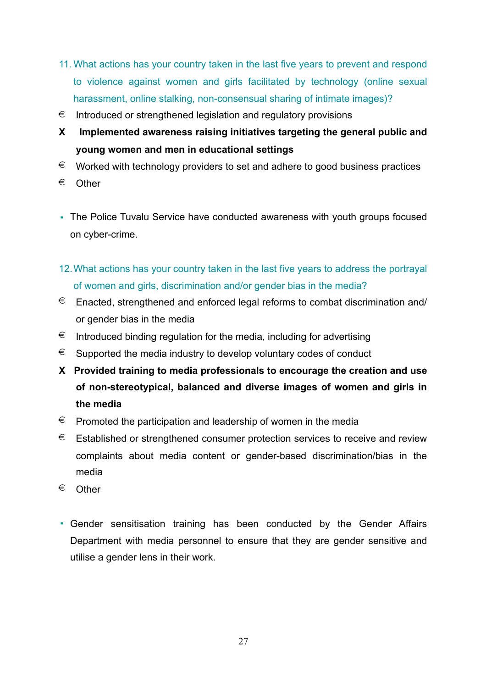- 11. What actions has your country taken in the last five years to prevent and respond to violence against women and girls facilitated by technology (online sexual harassment, online stalking, non-consensual sharing of intimate images)?
- $\epsilon$  Introduced or strengthened legislation and regulatory provisions
- **X Implemented awareness raising initiatives targeting the general public and young women and men in educational settings**
- $\epsilon$  Worked with technology providers to set and adhere to good business practices
- € Other
- The Police Tuvalu Service have conducted awareness with youth groups focused on cyber-crime.
- 12.What actions has your country taken in the last five years to address the portrayal of women and girls, discrimination and/or gender bias in the media?
- $\epsilon$  Enacted, strengthened and enforced legal reforms to combat discrimination and/ or gender bias in the media
- $\epsilon$  Introduced binding regulation for the media, including for advertising
- $\epsilon$  Supported the media industry to develop voluntary codes of conduct
- **X Provided training to media professionals to encourage the creation and use of non-stereotypical, balanced and diverse images of women and girls in the media**
- $\epsilon$  Promoted the participation and leadership of women in the media
- $\epsilon$  Established or strengthened consumer protection services to receive and review complaints about media content or gender-based discrimination/bias in the media
- € Other
- Gender sensitisation training has been conducted by the Gender Affairs Department with media personnel to ensure that they are gender sensitive and utilise a gender lens in their work.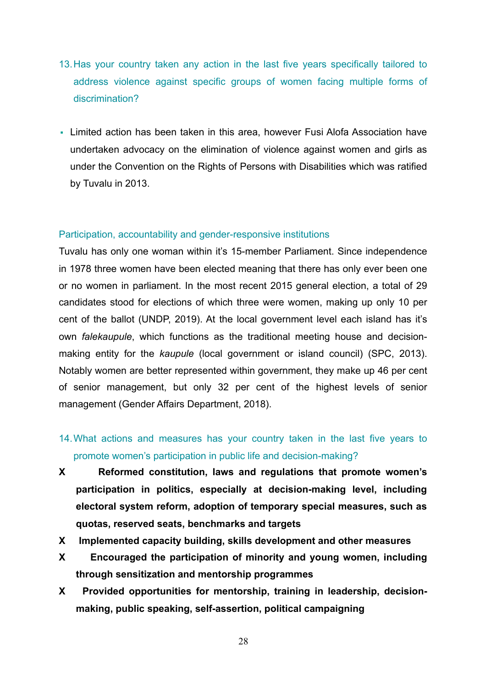- 13.Has your country taken any action in the last five years specifically tailored to address violence against specific groups of women facing multiple forms of discrimination?
- Limited action has been taken in this area, however Fusi Alofa Association have undertaken advocacy on the elimination of violence against women and girls as under the Convention on the Rights of Persons with Disabilities which was ratified by Tuvalu in 2013.

### Participation, accountability and gender-responsive institutions

Tuvalu has only one woman within it's 15-member Parliament. Since independence in 1978 three women have been elected meaning that there has only ever been one or no women in parliament. In the most recent 2015 general election, a total of 29 candidates stood for elections of which three were women, making up only 10 per cent of the ballot (UNDP, 2019). At the local government level each island has it's own *falekaupule*, which functions as the traditional meeting house and decisionmaking entity for the *kaupule* (local government or island council) (SPC, 2013). Notably women are better represented within government, they make up 46 per cent of senior management, but only 32 per cent of the highest levels of senior management (Gender Affairs Department, 2018).

- 14.What actions and measures has your country taken in the last five years to promote women's participation in public life and decision-making?
- **X Reformed constitution, laws and regulations that promote women's participation in politics, especially at decision-making level, including electoral system reform, adoption of temporary special measures, such as quotas, reserved seats, benchmarks and targets**
- **X Implemented capacity building, skills development and other measures**
- **X Encouraged the participation of minority and young women, including through sensitization and mentorship programmes**
- **X Provided opportunities for mentorship, training in leadership, decisionmaking, public speaking, self-assertion, political campaigning**

28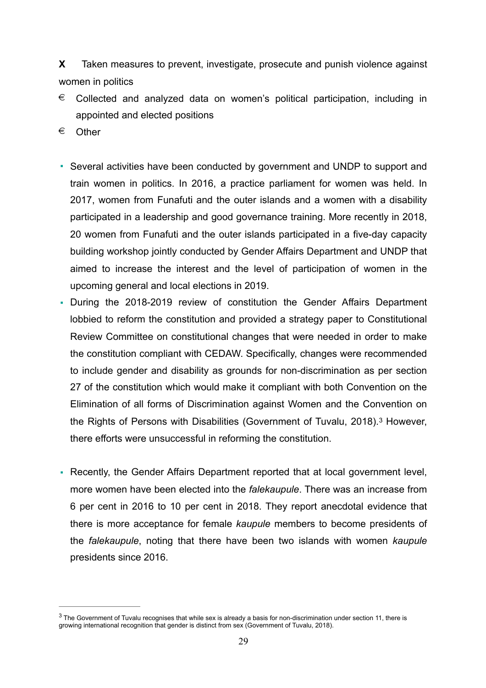**X** Taken measures to prevent, investigate, prosecute and punish violence against women in politics

- $\epsilon$  Collected and analyzed data on women's political participation, including in appointed and elected positions
- € Other
- Several activities have been conducted by government and UNDP to support and train women in politics. In 2016, a practice parliament for women was held. In 2017, women from Funafuti and the outer islands and a women with a disability participated in a leadership and good governance training. More recently in 2018, 20 women from Funafuti and the outer islands participated in a five-day capacity building workshop jointly conducted by Gender Affairs Department and UNDP that aimed to increase the interest and the level of participation of women in the upcoming general and local elections in 2019.
- During the 2018-2019 review of constitution the Gender Affairs Department lobbied to reform the constitution and provided a strategy paper to Constitutional Review Committee on constitutional changes that were needed in order to make the constitution compliant with CEDAW. Specifically, changes were recommended to include gender and disability as grounds for non-discrimination as per section 27 of the constitution which would make it compliant with both Convention on the Elimination of all forms of Discrimination against Women and the Convention on the Rights of Persons with Disabilities (Government of Tuvalu, 2018).<sup>[3](#page-28-0)</sup> However, there efforts were unsuccessful in reforming the constitution.
- <span id="page-28-1"></span>▪ Recently, the Gender Affairs Department reported that at local government level, more women have been elected into the *falekaupule*. There was an increase from 6 per cent in 2016 to 10 per cent in 2018. They report anecdotal evidence that there is more acceptance for female *kaupule* members to become presidents of the *falekaupule*, noting that there have been two islands with women *kaupule*  presidents since 2016.

<span id="page-28-0"></span> $3$ The Government of Tuvalu recognises that while sex is already a basis for non-discrimination under section 11, there is growing international recognition that gender is distinct from sex (Government of Tuvalu, 2018).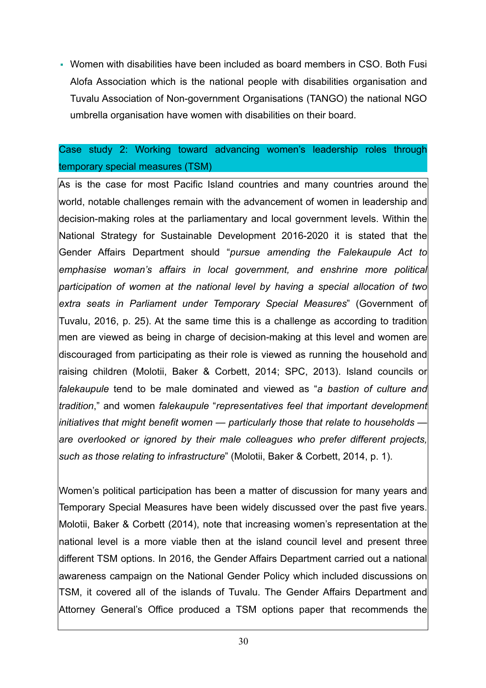▪ Women with disabilities have been included as board members in CSO. Both Fusi Alofa Association which is the national people with disabilities organisation and Tuvalu Association of Non-government Organisations (TANGO) the national NGO umbrella organisation have women with disabilities on their board.

## Case study 2: Working toward advancing women's leadership roles through temporary special measures (TSM)

As is the case for most Pacific Island countries and many countries around the world, notable challenges remain with the advancement of women in leadership and decision-making roles at the parliamentary and local government levels. Within the National Strategy for Sustainable Development 2016-2020 it is stated that the Gender Affairs Department should "*pursue amending the Falekaupule Act to emphasise woman's affairs in local government, and enshrine more political participation of women at the national level by having a special allocation of two extra seats in Parliament under Temporary Special Measures*" (Government of Tuvalu, 2016, p. 25). At the same time this is a challenge as according to tradition men are viewed as being in charge of decision-making at this level and women are discouraged from participating as their role is viewed as running the household and raising children (Molotii, Baker & Corbett, 2014; SPC, 2013). Island councils or *falekaupule* tend to be male dominated and viewed as "*a bastion of culture and tradition*," and women *falekaupule* "*representatives feel that important development initiatives that might benefit women — particularly those that relate to households are overlooked or ignored by their male colleagues who prefer different projects, such as those relating to infrastructure*" (Molotii, Baker & Corbett, 2014, p. 1).

Women's political participation has been a matter of discussion for many years and Temporary Special Measures have been widely discussed over the past five years. Molotii, Baker & Corbett (2014), note that increasing women's representation at the national level is a more viable then at the island council level and present three different TSM options. In 2016, the Gender Affairs Department carried out a national awareness campaign on the National Gender Policy which included discussions on TSM, it covered all of the islands of Tuvalu. The Gender Affairs Department and Attorney General's Office produced a TSM options paper that recommends the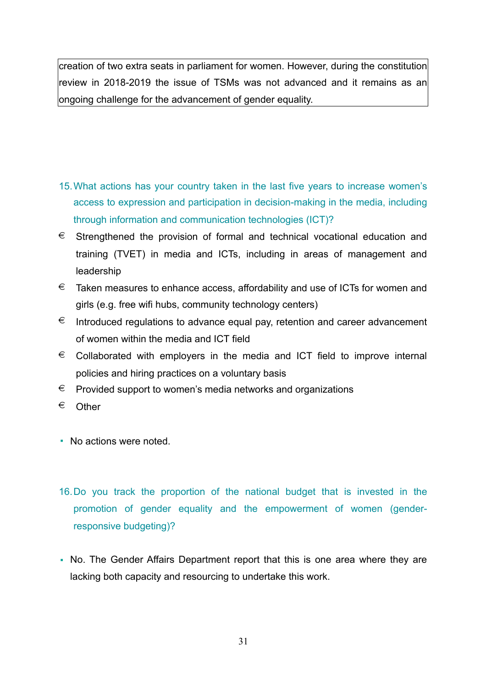creation of two extra seats in parliament for women. However, during the constitution review in 2018-2019 the issue of TSMs was not advanced and it remains as an ongoing challenge for the advancement of gender equality.

- 15.What actions has your country taken in the last five years to increase women's access to expression and participation in decision-making in the media, including through information and communication technologies (ICT)?
- $\epsilon$  Strengthened the provision of formal and technical vocational education and training (TVET) in media and ICTs, including in areas of management and leadership
- $\epsilon$  Taken measures to enhance access, affordability and use of ICTs for women and girls (e.g. free wifi hubs, community technology centers)
- $\epsilon$  Introduced regulations to advance equal pay, retention and career advancement of women within the media and ICT field
- $\epsilon$  Collaborated with employers in the media and ICT field to improve internal policies and hiring practices on a voluntary basis
- € Provided support to women's media networks and organizations
- € Other
- No actions were noted.
- 16.Do you track the proportion of the national budget that is invested in the promotion of gender equality and the empowerment of women (genderresponsive budgeting)?
- No. The Gender Affairs Department report that this is one area where they are lacking both capacity and resourcing to undertake this work.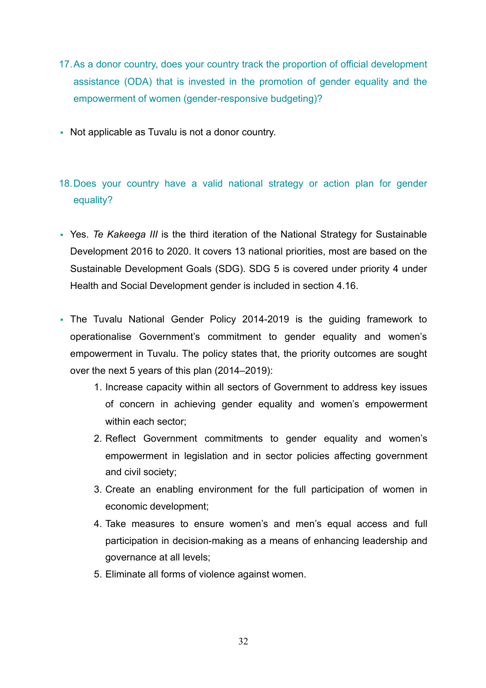- 17.As a donor country, does your country track the proportion of official development assistance (ODA) that is invested in the promotion of gender equality and the empowerment of women (gender-responsive budgeting)?
- Not applicable as Tuvalu is not a donor country.
- 18.Does your country have a valid national strategy or action plan for gender equality?
- Yes. *Te Kakeega III* is the third iteration of the National Strategy for Sustainable Development 2016 to 2020. It covers 13 national priorities, most are based on the Sustainable Development Goals (SDG). SDG 5 is covered under priority 4 under Health and Social Development gender is included in section 4.16.
- The Tuvalu National Gender Policy 2014-2019 is the guiding framework to operationalise Government's commitment to gender equality and women's empowerment in Tuvalu. The policy states that, the priority outcomes are sought over the next 5 years of this plan (2014–2019):
	- 1. Increase capacity within all sectors of Government to address key issues of concern in achieving gender equality and women's empowerment within each sector;
	- 2. Reflect Government commitments to gender equality and women's empowerment in legislation and in sector policies affecting government and civil society;
	- 3. Create an enabling environment for the full participation of women in economic development;
	- 4. Take measures to ensure women's and men's equal access and full participation in decision-making as a means of enhancing leadership and governance at all levels;
	- 5. Eliminate all forms of violence against women.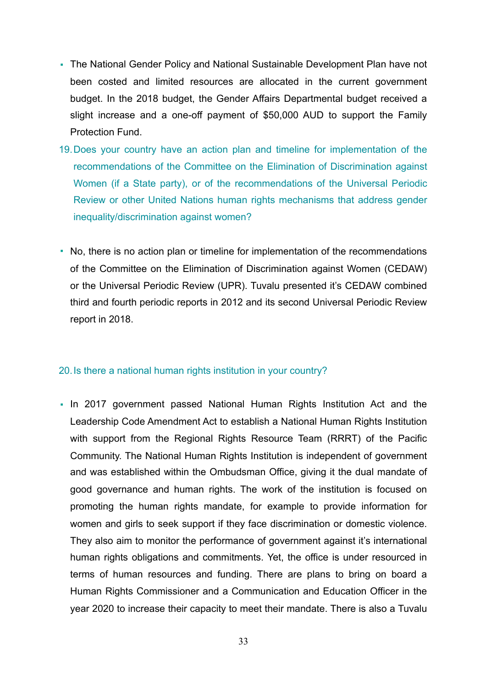- The National Gender Policy and National Sustainable Development Plan have not been costed and limited resources are allocated in the current government budget. In the 2018 budget, the Gender Affairs Departmental budget received a slight increase and a one-off payment of \$50,000 AUD to support the Family Protection Fund.
- 19.Does your country have an action plan and timeline for implementation of the recommendations of the Committee on the Elimination of Discrimination against Women (if a State party), or of the recommendations of the Universal Periodic Review or other United Nations human rights mechanisms that address gender inequality/discrimination against women?
- No, there is no action plan or timeline for implementation of the recommendations of the Committee on the Elimination of Discrimination against Women (CEDAW) or the Universal Periodic Review (UPR). Tuvalu presented it's CEDAW combined third and fourth periodic reports in 2012 and its second Universal Periodic Review report in 2018.

### 20.Is there a national human rights institution in your country?

▪ In 2017 government passed National Human Rights Institution Act and the Leadership Code Amendment Act to establish a National Human Rights Institution with support from the Regional Rights Resource Team (RRRT) of the Pacific Community. The National Human Rights Institution is independent of government and was established within the Ombudsman Office, giving it the dual mandate of good governance and human rights. The work of the institution is focused on promoting the human rights mandate, for example to provide information for women and girls to seek support if they face discrimination or domestic violence. They also aim to monitor the performance of government against it's international human rights obligations and commitments. Yet, the office is under resourced in terms of human resources and funding. There are plans to bring on board a Human Rights Commissioner and a Communication and Education Officer in the year 2020 to increase their capacity to meet their mandate. There is also a Tuvalu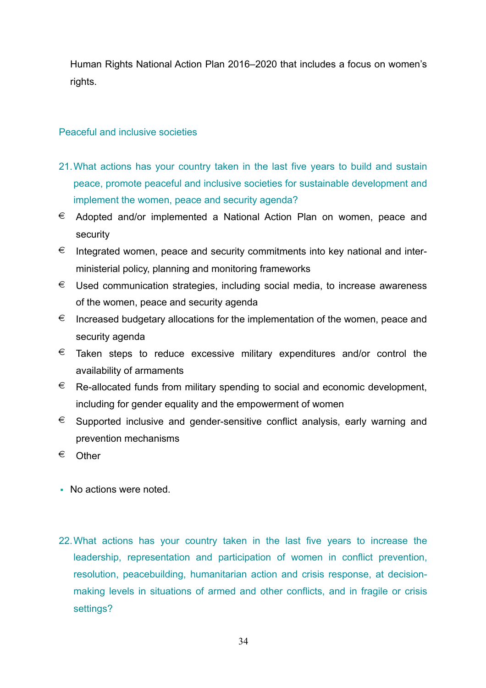Human Rights National Action Plan 2016–2020 that includes a focus on women's rights.

### Peaceful and inclusive societies

- 21.What actions has your country taken in the last five years to build and sustain peace, promote peaceful and inclusive societies for sustainable development and implement the women, peace and security agenda?
- $\epsilon$  Adopted and/or implemented a National Action Plan on women, peace and security
- $\epsilon$  Integrated women, peace and security commitments into key national and interministerial policy, planning and monitoring frameworks
- $\epsilon$  Used communication strategies, including social media, to increase awareness of the women, peace and security agenda
- $\epsilon$  Increased budgetary allocations for the implementation of the women, peace and security agenda
- $\epsilon$  Taken steps to reduce excessive military expenditures and/or control the availability of armaments
- $\epsilon$  Re-allocated funds from military spending to social and economic development, including for gender equality and the empowerment of women
- $\epsilon$  Supported inclusive and gender-sensitive conflict analysis, early warning and prevention mechanisms
- € Other
- No actions were noted.
- 22.What actions has your country taken in the last five years to increase the leadership, representation and participation of women in conflict prevention, resolution, peacebuilding, humanitarian action and crisis response, at decisionmaking levels in situations of armed and other conflicts, and in fragile or crisis settings?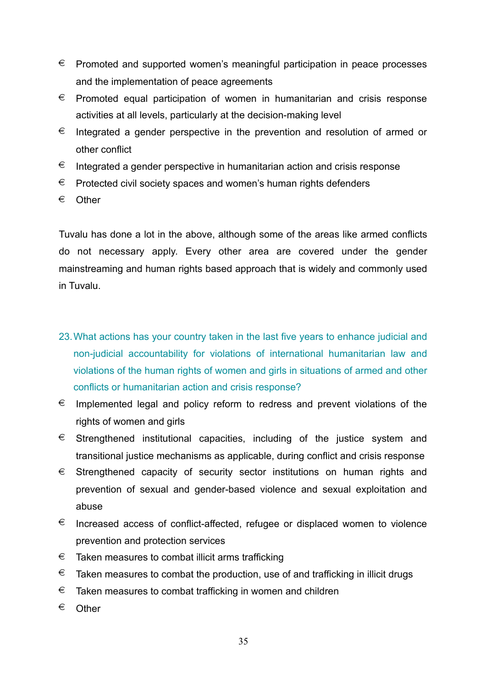- $\epsilon$  Promoted and supported women's meaningful participation in peace processes and the implementation of peace agreements
- $\epsilon$  Promoted equal participation of women in humanitarian and crisis response activities at all levels, particularly at the decision-making level
- $\epsilon$  Integrated a gender perspective in the prevention and resolution of armed or other conflict
- $\epsilon$  Integrated a gender perspective in humanitarian action and crisis response
- $\epsilon$  Protected civil society spaces and women's human rights defenders
- € Other

Tuvalu has done a lot in the above, although some of the areas like armed conflicts do not necessary apply. Every other area are covered under the gender mainstreaming and human rights based approach that is widely and commonly used in Tuvalu.

- 23.What actions has your country taken in the last five years to enhance judicial and non-judicial accountability for violations of international humanitarian law and violations of the human rights of women and girls in situations of armed and other conflicts or humanitarian action and crisis response?
- $\epsilon$  Implemented legal and policy reform to redress and prevent violations of the rights of women and girls
- $\epsilon$  Strengthened institutional capacities, including of the justice system and transitional justice mechanisms as applicable, during conflict and crisis response
- $\epsilon$  Strengthened capacity of security sector institutions on human rights and prevention of sexual and gender-based violence and sexual exploitation and abuse
- $\epsilon$  Increased access of conflict-affected, refugee or displaced women to violence prevention and protection services
- $\epsilon$  Taken measures to combat illicit arms trafficking
- $\epsilon$  Taken measures to combat the production, use of and trafficking in illicit drugs
- $\epsilon$  Taken measures to combat trafficking in women and children
- € Other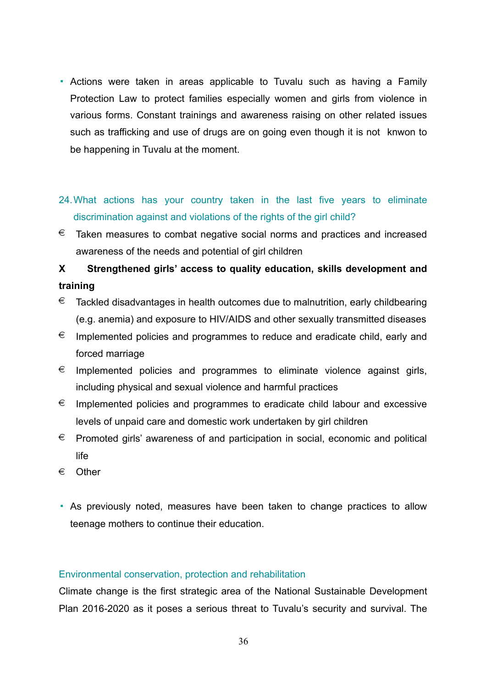- Actions were taken in areas applicable to Tuvalu such as having a Family Protection Law to protect families especially women and girls from violence in various forms. Constant trainings and awareness raising on other related issues such as trafficking and use of drugs are on going even though it is not knwon to be happening in Tuvalu at the moment.
- 24.What actions has your country taken in the last five years to eliminate discrimination against and violations of the rights of the girl child?
- $\epsilon$  Taken measures to combat negative social norms and practices and increased awareness of the needs and potential of girl children

**X Strengthened girls' access to quality education, skills development and training** 

- $\epsilon$  Tackled disadvantages in health outcomes due to malnutrition, early childbearing (e.g. anemia) and exposure to HIV/AIDS and other sexually transmitted diseases
- $\epsilon$  Implemented policies and programmes to reduce and eradicate child, early and forced marriage
- $\epsilon$  Implemented policies and programmes to eliminate violence against girls, including physical and sexual violence and harmful practices
- $\epsilon$  Implemented policies and programmes to eradicate child labour and excessive levels of unpaid care and domestic work undertaken by girl children
- € Promoted girls' awareness of and participation in social, economic and political life
- € Other
- As previously noted, measures have been taken to change practices to allow teenage mothers to continue their education.

### Environmental conservation, protection and rehabilitation

Climate change is the first strategic area of the National Sustainable Development Plan 2016-2020 as it poses a serious threat to Tuvalu's security and survival. The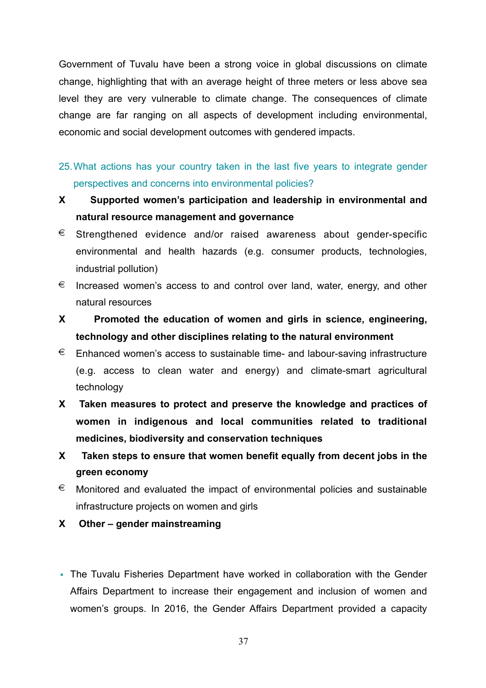Government of Tuvalu have been a strong voice in global discussions on climate change, highlighting that with an average height of three meters or less above sea level they are very vulnerable to climate change. The consequences of climate change are far ranging on all aspects of development including environmental, economic and social development outcomes with gendered impacts.

25.What actions has your country taken in the last five years to integrate gender perspectives and concerns into environmental policies?

- **X Supported women's participation and leadership in environmental and natural resource management and governance**
- $\epsilon$  Strengthened evidence and/or raised awareness about gender-specific environmental and health hazards (e.g. consumer products, technologies, industrial pollution)
- $\epsilon$  Increased women's access to and control over land, water, energy, and other natural resources
- **X Promoted the education of women and girls in science, engineering, technology and other disciplines relating to the natural environment**
- $\epsilon$  Enhanced women's access to sustainable time- and labour-saving infrastructure (e.g. access to clean water and energy) and climate-smart agricultural technology
- **X Taken measures to protect and preserve the knowledge and practices of women in indigenous and local communities related to traditional medicines, biodiversity and conservation techniques**
- **X Taken steps to ensure that women benefit equally from decent jobs in the green economy**
- $\epsilon$  Monitored and evaluated the impact of environmental policies and sustainable infrastructure projects on women and girls
- **X Other gender mainstreaming**
- The Tuvalu Fisheries Department have worked in collaboration with the Gender Affairs Department to increase their engagement and inclusion of women and women's groups. In 2016, the Gender Affairs Department provided a capacity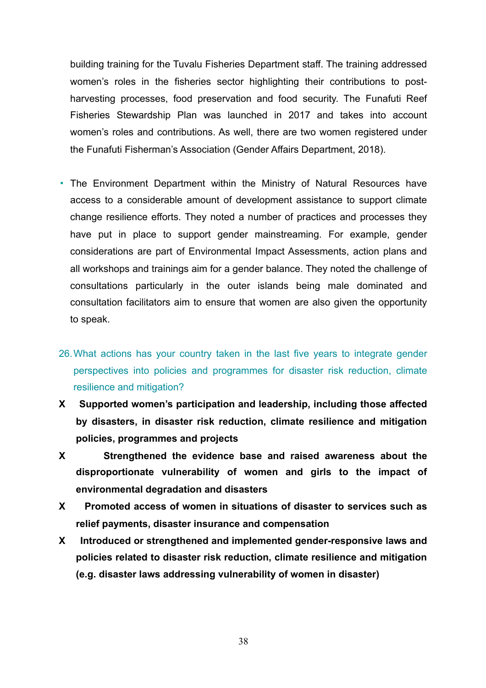building training for the Tuvalu Fisheries Department staff. The training addressed women's roles in the fisheries sector highlighting their contributions to postharvesting processes, food preservation and food security. The Funafuti Reef Fisheries Stewardship Plan was launched in 2017 and takes into account women's roles and contributions. As well, there are two women registered under the Funafuti Fisherman's Association (Gender Affairs Department, 2018).

- The Environment Department within the Ministry of Natural Resources have access to a considerable amount of development assistance to support climate change resilience efforts. They noted a number of practices and processes they have put in place to support gender mainstreaming. For example, gender considerations are part of Environmental Impact Assessments, action plans and all workshops and trainings aim for a gender balance. They noted the challenge of consultations particularly in the outer islands being male dominated and consultation facilitators aim to ensure that women are also given the opportunity to speak.
- 26.What actions has your country taken in the last five years to integrate gender perspectives into policies and programmes for disaster risk reduction, climate resilience and mitigation?
- **X Supported women's participation and leadership, including those affected by disasters, in disaster risk reduction, climate resilience and mitigation policies, programmes and projects**
- **X Strengthened the evidence base and raised awareness about the disproportionate vulnerability of women and girls to the impact of environmental degradation and disasters**
- **X Promoted access of women in situations of disaster to services such as relief payments, disaster insurance and compensation**
- **X Introduced or strengthened and implemented gender-responsive laws and policies related to disaster risk reduction, climate resilience and mitigation (e.g. disaster laws addressing vulnerability of women in disaster)**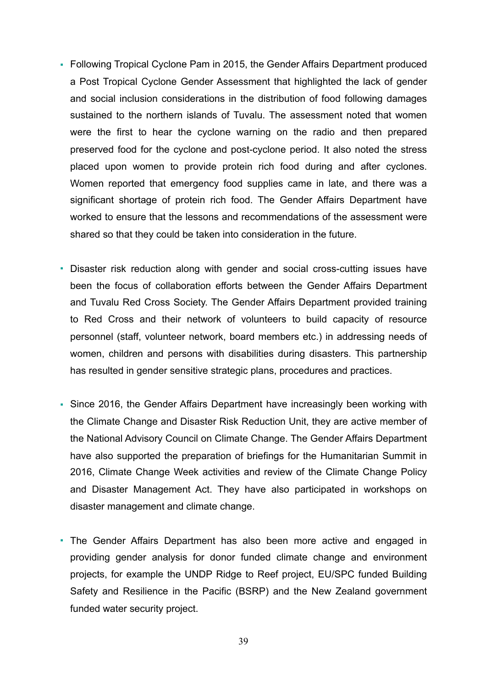- Following Tropical Cyclone Pam in 2015, the Gender Affairs Department produced a Post Tropical Cyclone Gender Assessment that highlighted the lack of gender and social inclusion considerations in the distribution of food following damages sustained to the northern islands of Tuvalu. The assessment noted that women were the first to hear the cyclone warning on the radio and then prepared preserved food for the cyclone and post-cyclone period. It also noted the stress placed upon women to provide protein rich food during and after cyclones. Women reported that emergency food supplies came in late, and there was a significant shortage of protein rich food. The Gender Affairs Department have worked to ensure that the lessons and recommendations of the assessment were shared so that they could be taken into consideration in the future.
- Disaster risk reduction along with gender and social cross-cutting issues have been the focus of collaboration efforts between the Gender Affairs Department and Tuvalu Red Cross Society. The Gender Affairs Department provided training to Red Cross and their network of volunteers to build capacity of resource personnel (staff, volunteer network, board members etc.) in addressing needs of women, children and persons with disabilities during disasters. This partnership has resulted in gender sensitive strategic plans, procedures and practices.
- Since 2016, the Gender Affairs Department have increasingly been working with the Climate Change and Disaster Risk Reduction Unit, they are active member of the National Advisory Council on Climate Change. The Gender Affairs Department have also supported the preparation of briefings for the Humanitarian Summit in 2016, Climate Change Week activities and review of the Climate Change Policy and Disaster Management Act. They have also participated in workshops on disaster management and climate change.
- The Gender Affairs Department has also been more active and engaged in providing gender analysis for donor funded climate change and environment projects, for example the UNDP Ridge to Reef project, EU/SPC funded Building Safety and Resilience in the Pacific (BSRP) and the New Zealand government funded water security project.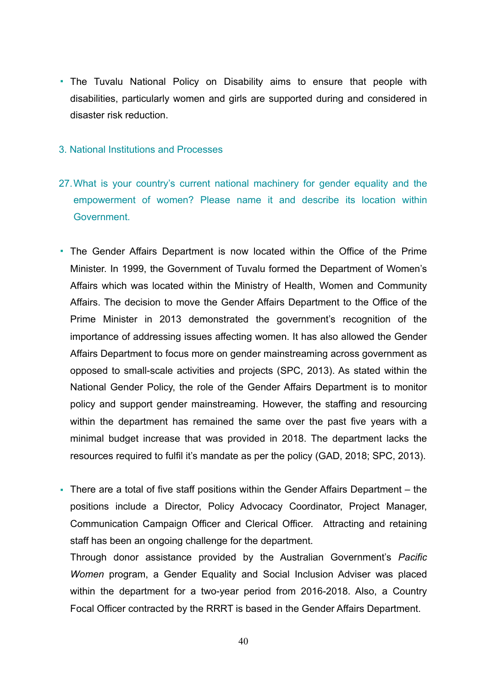• The Tuvalu National Policy on Disability aims to ensure that people with disabilities, particularly women and girls are supported during and considered in disaster risk reduction.

### 3. National Institutions and Processes

- 27. What is your country's current national machinery for gender equality and the empowerment of women? Please name it and describe its location within Government.
- The Gender Affairs Department is now located within the Office of the Prime Minister. In 1999, the Government of Tuvalu formed the Department of Women's Affairs which was located within the Ministry of Health, Women and Community Affairs. The decision to move the Gender Affairs Department to the Office of the Prime Minister in 2013 demonstrated the government's recognition of the importance of addressing issues affecting women. It has also allowed the Gender Affairs Department to focus more on gender mainstreaming across government as opposed to small-scale activities and projects (SPC, 2013). As stated within the National Gender Policy, the role of the Gender Affairs Department is to monitor policy and support gender mainstreaming. However, the staffing and resourcing within the department has remained the same over the past five years with a minimal budget increase that was provided in 2018. The department lacks the resources required to fulfil it's mandate as per the policy (GAD, 2018; SPC, 2013).
- There are a total of five staff positions within the Gender Affairs Department the positions include a Director, Policy Advocacy Coordinator, Project Manager, Communication Campaign Officer and Clerical Officer. Attracting and retaining staff has been an ongoing challenge for the department.

Through donor assistance provided by the Australian Government's *Pacific Women* program, a Gender Equality and Social Inclusion Adviser was placed within the department for a two-year period from 2016-2018. Also, a Country Focal Officer contracted by the RRRT is based in the Gender Affairs Department.

40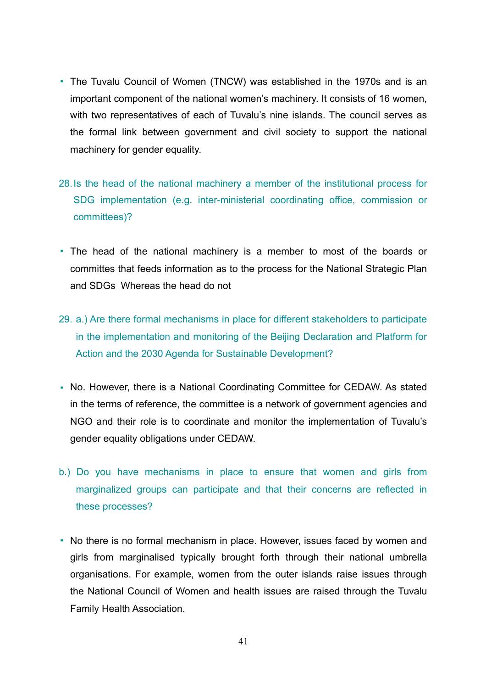- The Tuvalu Council of Women (TNCW) was established in the 1970s and is an important component of the national women's machinery. It consists of 16 women, with two representatives of each of Tuvalu's nine islands. The council serves as the formal link between government and civil society to support the national machinery for gender equality.
- 28.Is the head of the national machinery a member of the institutional process for SDG implementation (e.g. inter-ministerial coordinating office, commission or committees)?
- The head of the national machinery is a member to most of the boards or committes that feeds information as to the process for the National Strategic Plan and SDGs Whereas the head do not
- 29. a.) Are there formal mechanisms in place for different stakeholders to participate in the implementation and monitoring of the Beijing Declaration and Platform for Action and the 2030 Agenda for Sustainable Development?
- No. However, there is a National Coordinating Committee for CEDAW. As stated in the terms of reference, the committee is a network of government agencies and NGO and their role is to coordinate and monitor the implementation of Tuvalu's gender equality obligations under CEDAW.
- b.) Do you have mechanisms in place to ensure that women and girls from marginalized groups can participate and that their concerns are reflected in these processes?
- No there is no formal mechanism in place. However, issues faced by women and girls from marginalised typically brought forth through their national umbrella organisations. For example, women from the outer islands raise issues through the National Council of Women and health issues are raised through the Tuvalu Family Health Association.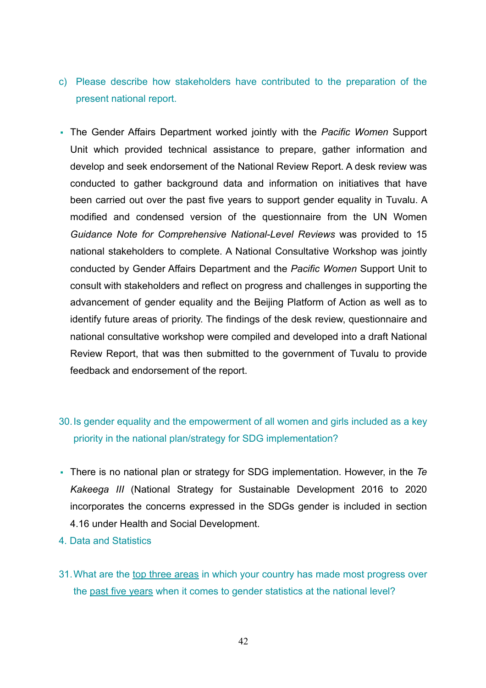- c) Please describe how stakeholders have contributed to the preparation of the present national report.
- The Gender Affairs Department worked jointly with the *Pacific Women* Support Unit which provided technical assistance to prepare, gather information and develop and seek endorsement of the National Review Report. A desk review was conducted to gather background data and information on initiatives that have been carried out over the past five years to support gender equality in Tuvalu. A modified and condensed version of the questionnaire from the UN Women *Guidance Note for Comprehensive National-Level Reviews* was provided to 15 national stakeholders to complete. A National Consultative Workshop was jointly conducted by Gender Affairs Department and the *Pacific Women* Support Unit to consult with stakeholders and reflect on progress and challenges in supporting the advancement of gender equality and the Beijing Platform of Action as well as to identify future areas of priority. The findings of the desk review, questionnaire and national consultative workshop were compiled and developed into a draft National Review Report, that was then submitted to the government of Tuvalu to provide feedback and endorsement of the report.

## 30.Is gender equality and the empowerment of all women and girls included as a key priority in the national plan/strategy for SDG implementation?

- There is no national plan or strategy for SDG implementation. However, in the *Te Kakeega III* (National Strategy for Sustainable Development 2016 to 2020 incorporates the concerns expressed in the SDGs gender is included in section 4.16 under Health and Social Development.
- 4. Data and Statistics
- 31.What are the top three areas in which your country has made most progress over the past five years when it comes to gender statistics at the national level?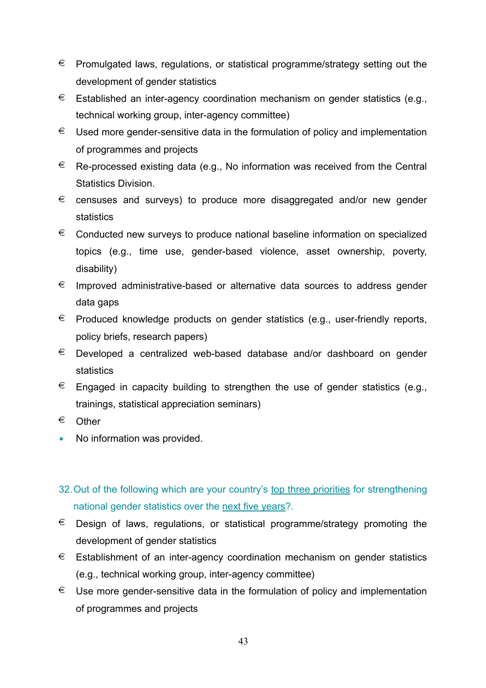- $\epsilon$  Promulgated laws, regulations, or statistical programme/strategy setting out the development of gender statistics
- $∈$  Established an inter-agency coordination mechanism on gender statistics (e.g., technical working group, inter-agency committee)
- $\epsilon$  Used more gender-sensitive data in the formulation of policy and implementation of programmes and projects
- $\epsilon$  Re-processed existing data (e.g., No information was received from the Central Statistics Division.
- € censuses and surveys) to produce more disaggregated and/or new gender statistics
- $\epsilon$  Conducted new surveys to produce national baseline information on specialized topics (e.g., time use, gender-based violence, asset ownership, poverty, disability)
- $\epsilon$  Improved administrative-based or alternative data sources to address gender data gaps
- $\epsilon$  Produced knowledge products on gender statistics (e.g., user-friendly reports, policy briefs, research papers)
- $\epsilon$  Developed a centralized web-based database and/or dashboard on gender statistics
- $\epsilon$  Engaged in capacity building to strengthen the use of gender statistics (e.g., trainings, statistical appreciation seminars)
- € Other
- No information was provided.
- 32.Out of the following which are your country's top three priorities for strengthening national gender statistics over the next five years?.
- $\epsilon$  Design of laws, regulations, or statistical programme/strategy promoting the development of gender statistics
- $\epsilon$  Establishment of an inter-agency coordination mechanism on gender statistics (e.g., technical working group, inter-agency committee)
- $\epsilon$  Use more gender-sensitive data in the formulation of policy and implementation of programmes and projects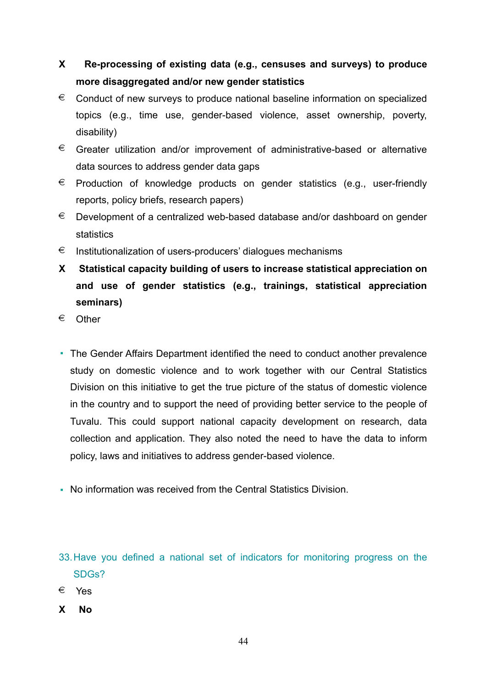# **X Re-processing of existing data (e.g., censuses and surveys) to produce more disaggregated and/or new gender statistics**

- $\epsilon$  Conduct of new surveys to produce national baseline information on specialized topics (e.g., time use, gender-based violence, asset ownership, poverty, disability)
- $\epsilon$  Greater utilization and/or improvement of administrative-based or alternative data sources to address gender data gaps
- $\epsilon$  Production of knowledge products on gender statistics (e.g., user-friendly reports, policy briefs, research papers)
- € Development of a centralized web-based database and/or dashboard on gender statistics
- € Institutionalization of users-producers' dialogues mechanisms
- **X Statistical capacity building of users to increase statistical appreciation on and use of gender statistics (e.g., trainings, statistical appreciation seminars)**
- € Other
- The Gender Affairs Department identified the need to conduct another prevalence study on domestic violence and to work together with our Central Statistics Division on this initiative to get the true picture of the status of domestic violence in the country and to support the need of providing better service to the people of Tuvalu. This could support national capacity development on research, data collection and application. They also noted the need to have the data to inform policy, laws and initiatives to address gender-based violence.
- No information was received from the Central Statistics Division.

- € Yes
- **X No**

<sup>33.</sup>Have you defined a national set of indicators for monitoring progress on the SDGs?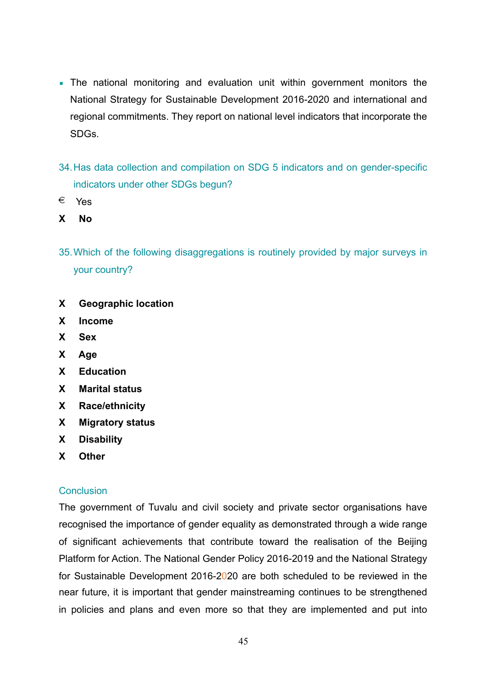- **The national monitoring and evaluation unit within government monitors the** National Strategy for Sustainable Development 2016-2020 and international and regional commitments. They report on national level indicators that incorporate the SDGs.
- 34.Has data collection and compilation on SDG 5 indicators and on gender-specific indicators under other SDGs begun?
- € Yes
- **X No**
- 35.Which of the following disaggregations is routinely provided by major surveys in your country?
- **X Geographic location**
- **X Income**
- **X Sex**
- **X Age**
- **X Education**
- **X Marital status**
- **X Race/ethnicity**
- **X Migratory status**
- **X Disability**
- **X Other**

### **Conclusion**

The government of Tuvalu and civil society and private sector organisations have recognised the importance of gender equality as demonstrated through a wide range of significant achievements that contribute toward the realisation of the Beijing Platform for Action. The National Gender Policy 2016-2019 and the National Strategy for Sustainable Development 2016-2020 are both scheduled to be reviewed in the near future, it is important that gender mainstreaming continues to be strengthened in policies and plans and even more so that they are implemented and put into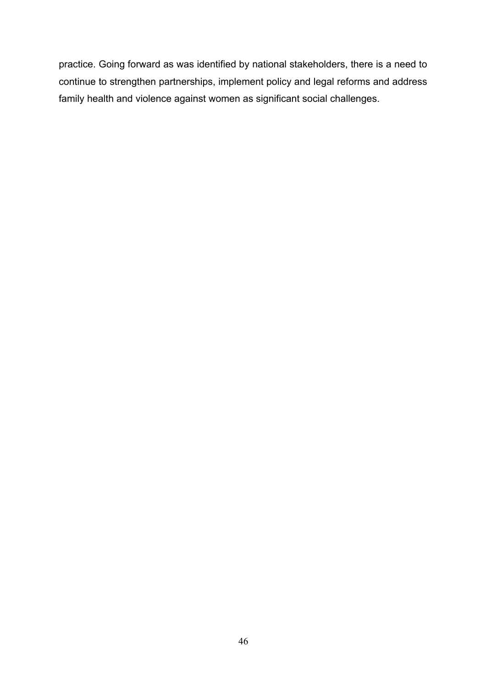practice. Going forward as was identified by national stakeholders, there is a need to continue to strengthen partnerships, implement policy and legal reforms and address family health and violence against women as significant social challenges.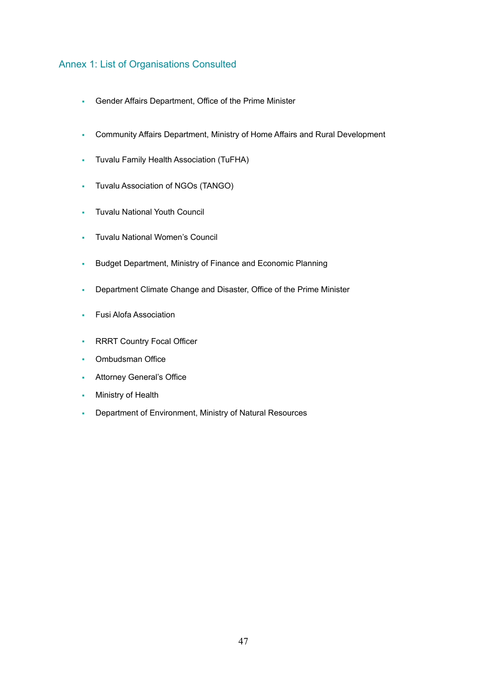### Annex 1: List of Organisations Consulted

- Gender Affairs Department, Office of the Prime Minister
- Community Affairs Department, Ministry of Home Affairs and Rural Development
- Tuvalu Family Health Association (TuFHA)
- Tuvalu Association of NGOs (TANGO)
- Tuvalu National Youth Council
- Tuvalu National Women's Council
- Budget Department, Ministry of Finance and Economic Planning
- Department Climate Change and Disaster, Office of the Prime Minister
- Fusi Alofa Association
- **RRRT Country Focal Officer**
- Ombudsman Office
- **Attorney General's Office**
- **Ministry of Health**
- Department of Environment, Ministry of Natural Resources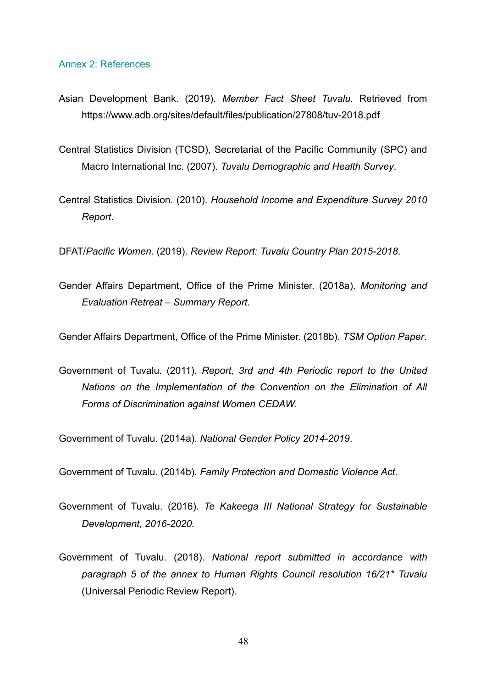#### Annex 2: References

- Asian Development Bank. (2019). *Member Fact Sheet Tuvalu*. Retrieved from https://www.adb.org/sites/default/files/publication/27808/tuv-2018.pdf
- Central Statistics Division (TCSD), Secretariat of the Pacific Community (SPC) and Macro International Inc. (2007). *Tuvalu Demographic and Health Survey*.
- Central Statistics Division. (2010). *Household Income and Expenditure Survey 2010 Report*.

DFAT/*Pacific Women*. (2019). *Review Report: Tuvalu Country Plan 2015-2018*.

Gender Affairs Department, Office of the Prime Minister. (2018a). *Monitoring and Evaluation Retreat – Summary Report*.

Gender Affairs Department, Office of the Prime Minister. (2018b). *TSM Option Paper*.

Government of Tuvalu. (2011). *Report, 3rd and 4th Periodic report to the United Nations on the Implementation of the Convention on the Elimination of All Forms of Discrimination against Women CEDAW.*

Government of Tuvalu. (2014a). *National Gender Policy 2014-2019*.

Government of Tuvalu. (2014b). *Family Protection and Domestic Violence Act*.

- Government of Tuvalu. (2016). *Te Kakeega III National Strategy for Sustainable Development, 2016-2020.*
- Government of Tuvalu. (2018). *National report submitted in accordance with paragraph 5 of the annex to Human Rights Council resolution 16/21\* Tuvalu* (Universal Periodic Review Report).